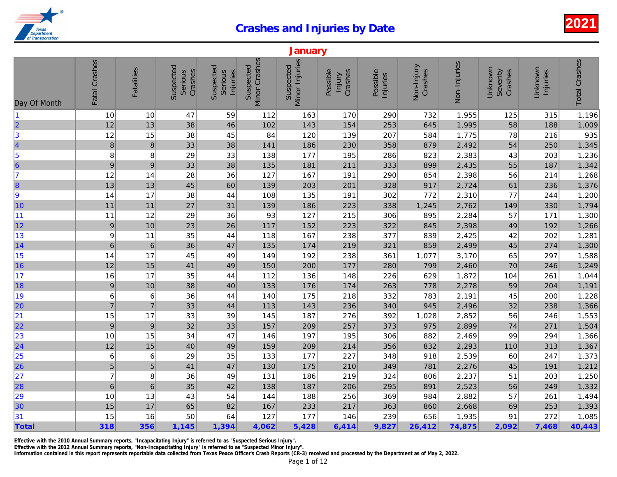|                                                               |                  |                  |                                 |                                  |                            | January                     |                                      |                      |                       |              |
|---------------------------------------------------------------|------------------|------------------|---------------------------------|----------------------------------|----------------------------|-----------------------------|--------------------------------------|----------------------|-----------------------|--------------|
| Day Of Month                                                  | Fatal Crashes    | Fatalities       | Suspected<br>Crashes<br>Serious | Suspected<br>Serious<br>Injuries | Minor Crashes<br>Suspected | Minor Injuries<br>Suspected | Possible<br>Crashes<br><b>Injury</b> | Possible<br>Injuries | Non-Injury<br>Crashes | Non-Injuries |
| 11                                                            | 10               | 10               | 47                              | 59                               | 112                        | 163                         | 170                                  | 290                  | 732                   | 1,955        |
|                                                               | 12               | 13               | 38                              | 46                               | 102                        | 143                         | 154                                  | 253                  | 645                   | 1,995        |
| $\begin{array}{c}\n 2 \\  3 \\  4\n \end{array}$              | 12               | 15               | 38                              | 45                               | 84                         | 120                         | 139                                  | 207                  | 584                   | 1,775        |
|                                                               | $\boldsymbol{8}$ | $\bf 8$          | 33                              | 38                               | 141                        | 186                         | 230                                  | 358                  | 879                   | 2,492        |
|                                                               | 8                | 8                | 29                              | 33                               | 138                        | 177                         | 195                                  | 286                  | 823                   | 2,383        |
| $\begin{array}{c} 5 \\ 6 \end{array}$                         | $\boldsymbol{9}$ | 9                | 33                              | 38                               | 135                        | 181                         | 211                                  | 333                  | 899                   | 2,435        |
| 7                                                             | 12               | 14               | 28                              | 36                               | 127                        | 167                         | 191                                  | 290                  | 854                   | 2,398        |
| 8                                                             | 13               | 13               | 45                              | 60                               | 139                        | 203                         | 201                                  | 328                  | 917                   | 2,724        |
| 9                                                             | 14               | 17               | 38                              | 44                               | 108                        | 135                         | 191                                  | 302                  | 772                   | 2,310        |
| 10                                                            | 11               | 11               | 27                              | 31                               | 139                        | 186                         | 223                                  | 338                  | 1,245                 | 2,762        |
| 11                                                            | 11               | 12               | 29                              | 36                               | 93                         | 127                         | 215                                  | 306                  | 895                   | 2,284        |
| 12                                                            | $\overline{9}$   | 10               | 23                              | 26                               | 117                        | 152                         | 223                                  | 322                  | 845                   | 2,398        |
| 13                                                            | $\boldsymbol{9}$ | 11               | 35                              | 44                               | 118                        | 167                         | 238                                  | 377                  | 839                   | 2,425        |
| 14                                                            | $6\phantom{1}6$  | $\,6\,$          | 36                              | 47                               | 135                        | 174                         | 219                                  | 321                  | 859                   | 2,499        |
| 15                                                            | 14               | 17               | 45                              | 49                               | 149                        | 192                         | 238                                  | 361                  | 1,077                 | 3,170        |
| 16                                                            | 12               | 15               | 41                              | 49                               | 150                        | 200                         | 177                                  | 280                  | 799                   | 2,460        |
| 17                                                            | $16$             | 17               | 35                              | 44                               | 112                        | 136                         | 148                                  | 226                  | 629                   | 1,872        |
| 18                                                            | $\overline{9}$   | 10               | 38                              | 40                               | 133                        | 176                         | 174                                  | 263                  | 778                   | 2,278        |
| 19                                                            | $\,6$            | 6                | 36                              | 44                               | 140                        | 175                         | 218                                  | 332                  | 783                   | 2,191        |
| 20                                                            | $\overline{7}$   | $\overline{7}$   | 33                              | 44                               | 113                        | 143                         | 236                                  | 340                  | 945                   | 2,496        |
| 21                                                            | 15               | 17               | 33                              | 39                               | 145                        | 187                         | 276                                  | 392                  | 1,028                 | 2,852        |
| 22                                                            | $\boldsymbol{9}$ | $\boldsymbol{9}$ | 32                              | 33                               | 157                        | 209                         | 257                                  | 373                  | 975                   | 2,899        |
| 23                                                            | 10               | 15               | 34                              | 47                               | 146                        | 197                         | 195                                  | 306                  | 882                   | 2,469        |
| $\overline{24}$                                               | 12               | 15               | 40                              | 49                               | 159                        | 209                         | 214                                  | 356                  | 832                   | 2,293        |
| $\begin{array}{r} \n \boxed{25} \\  \boxed{26}\n \end{array}$ | $\,$ 6           | 6                | 29                              | 35                               | 133                        | 177                         | 227                                  | 348                  | 918                   | 2,539        |
|                                                               | 5                | 5                | 41                              | 47                               | 130                        | 175                         | 210                                  | 349                  | 781                   | 2,276        |
| 27                                                            | $\overline{7}$   | 8                | 36                              | 49                               | 131                        | 186                         | 219                                  | 324                  | 806                   | 2,237        |
| 28                                                            | $6\phantom{1}6$  | $6\phantom{1}6$  | 35                              | 42                               | 138                        | 187                         | 206                                  | 295                  | 891                   | 2,523        |
| 29                                                            | 10               | 13               | 43                              | 54                               | 144                        | 188                         | 256                                  | 369                  | 984                   | 2,882        |
| 30                                                            | 15               | 17               | 65                              | 82                               | 167                        | 233                         | 217                                  | 363                  | 860                   | 2,668        |
| 31                                                            | 15               | 16               | 50                              | 64                               | 127                        | 177                         | 146                                  | 239                  | 656                   | 1,935        |
| Total                                                         | 318              | 356              | 1,145                           | 1,394                            | 4,062                      | 5,428                       | 6,414                                | 9,827                | 26,412                | 74,875       |

Effective with the 2010 Annual Summary reports, "Incapacitating Injury" is referred to as "Suspected Serious Injury".

Effective with the 2012 Annual Summary reports, "Non-Incapacitating Injury" is referred to as "Suspected Minor Injury".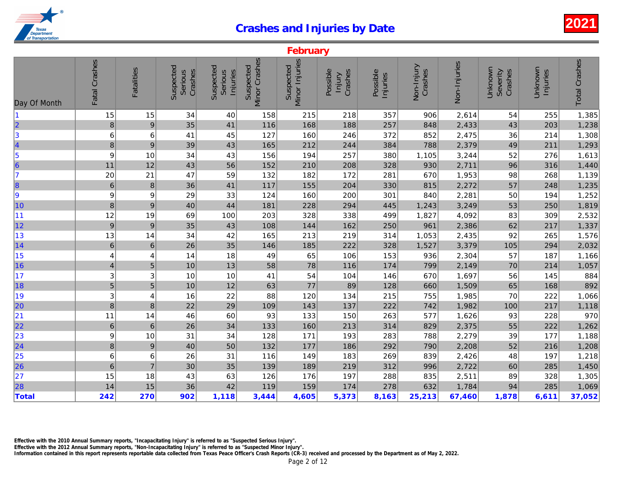|                                                               |                          |                  |                                 |                                  |                                   | February                    |                               |                      |                       |              |
|---------------------------------------------------------------|--------------------------|------------------|---------------------------------|----------------------------------|-----------------------------------|-----------------------------|-------------------------------|----------------------|-----------------------|--------------|
| Day Of Month                                                  | Fatal Crashes            | Fatalities       | Suspected<br>Crashes<br>Serious | Suspected<br>Serious<br>Injuries | <b>Minor Crashes</b><br>Suspected | Minor Injuries<br>Suspected | Possible<br>Crashes<br>Injury | Possible<br>Injuries | Non-Injury<br>Crashes | Non-Injuries |
| $\blacksquare$                                                | 15                       | 15               | 34                              | 40                               | 158                               | 215                         | 218                           | 357                  | 906                   | 2,614        |
| $\overline{\mathbf{2}}$                                       | $\bf 8$                  | $\overline{9}$   | 35                              | 41                               | 116                               | 168                         | 188                           | 257                  | 848                   | 2,433        |
|                                                               | 6                        | 6                | 41                              | 45                               | 127                               | 160                         | 246                           | 372                  | 852                   | 2,475        |
| $\begin{array}{c} 3 \\ 4 \end{array}$                         | $\bf{8}$                 | 9                | 39                              | 43                               | 165                               | 212                         | 244                           | 384                  | 788                   | 2,379        |
|                                                               | $\boldsymbol{9}$         | 10               | 34                              | 43                               | 156                               | 194                         | 257                           | 380                  | 1,105                 | 3,244        |
| $\begin{array}{c} 5 \\ 6 \end{array}$                         | 11                       | 12               | 43                              | 56                               | 152                               | 210                         | 208                           | 328                  | 930                   | 2,711        |
| 7                                                             | 20                       | 21               | 47                              | 59                               | 132                               | 182                         | 172                           | 281                  | 670                   | 1,953        |
| 8                                                             | $\,$ 6 $\,$              | $\bf 8$          | 36                              | 41                               | 117                               | 155                         | 204                           | 330                  | 815                   | 2,272        |
| 9                                                             | 9                        | 9                | 29                              | 33                               | 124                               | 160                         | 200                           | 301                  | 840                   | 2,281        |
| 10                                                            | $\,8\,$                  | $\boldsymbol{9}$ | 40                              | 44                               | 181                               | 228                         | 294                           | 445                  | 1,243                 | 3,249        |
| 11                                                            | 12                       | 19               | 69                              | 100                              | 203                               | 328                         | 338                           | 499                  | 1,827                 | 4,092        |
| 12                                                            | $\overline{9}$           | $\overline{9}$   | 35                              | 43                               | 108                               | 144                         | 162                           | 250                  | 961                   | 2,386        |
| 13                                                            | 13                       | 14               | 34                              | 42                               | 165                               | 213                         | 219                           | 314                  | 1,053                 | 2,435        |
| 14                                                            | $\,$ 6 $\,$              | $6\phantom{1}$   | 26                              | 35                               | 146                               | 185                         | 222                           | 328                  | 1,527                 | 3,379        |
| 15                                                            | 4                        | 4                | 14                              | 18                               | 49                                | 65                          | 106                           | 153                  | 936                   | 2,304        |
| 16                                                            | $\overline{\mathcal{L}}$ | 5                | 10                              | 13                               | 58                                | 78                          | 116                           | 174                  | 799                   | 2,149        |
| 17                                                            | 3                        | 3                | 10                              | 10                               | 41                                | 54                          | 104                           | 146                  | 670                   | 1,697        |
| 18                                                            | 5                        | 5                | 10                              | 12                               | 63                                | 77                          | 89                            | 128                  | 660                   | 1,509        |
| 19                                                            | 3                        | 4                | 16                              | 22                               | 88                                | 120                         | 134                           | 215                  | 755                   | 1,985        |
| 20                                                            | 8                        | 8                | 22                              | 29                               | 109                               | 143                         | 137                           | 222                  | 742                   | 1,982        |
| 21                                                            | 11                       | 14               | 46                              | 60                               | 93                                | 133                         | 150                           | 263                  | 577                   | 1,626        |
| 22                                                            | $\,$ 6 $\,$              | $\,6\,$          | 26                              | 34                               | 133                               | 160                         | 213                           | 314                  | 829                   | 2,375        |
| $\begin{array}{ c c }\n\hline\n23 \\ \hline\n24\n\end{array}$ | $\boldsymbol{9}$         | 10               | 31                              | 34                               | 128                               | 171                         | 193                           | 283                  | 788                   | 2,279        |
|                                                               | 8                        | $\boldsymbol{9}$ | 40                              | 50                               | 132                               | 177                         | 186                           | 292                  | 790                   | 2,208        |
|                                                               | $\,6$                    | 6                | 26                              | 31                               | 116                               | 149                         | 183                           | 269                  | 839                   | 2,426        |
| 25<br>26                                                      | $\boldsymbol{6}$         | $\overline{7}$   | 30                              | 35                               | 139                               | 189                         | 219                           | 312                  | 996                   | 2,722        |
| 27                                                            | 15                       | 18               | 43                              | 63                               | 126                               | 176                         | 197                           | 288                  | 835                   | 2,511        |
| 28                                                            | 14                       | 15               | 36                              | 42                               | 119                               | 159                         | 174                           | 278                  | 632                   | 1,784        |
| Total                                                         | 242                      | 270              | 902                             | 1,118                            | 3,444                             | 4,605                       | 5,373                         | 8,163                | 25,213                | 67,460       |

Effective with the 2010 Annual Summary reports, "Incapacitating Injury" is referred to as "Suspected Serious Injury".

Effective with the 2012 Annual Summary reports, "Non-Incapacitating Injury" is referred to as "Suspected Minor Injury".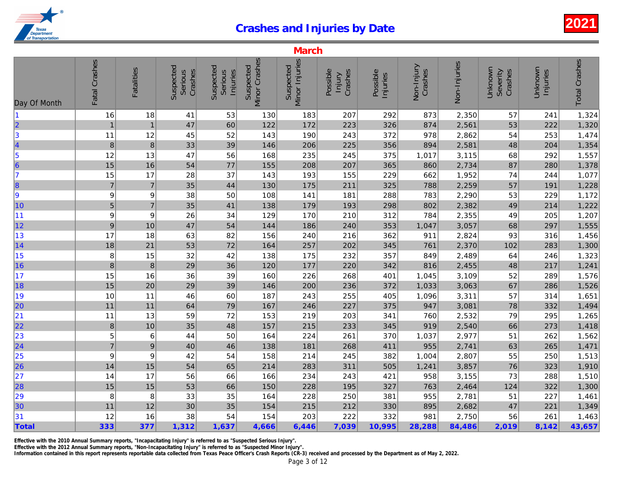|                                                       |                  |                   |                                 |                                  |                            | <b>March</b>                |                               |                      |                       |              |
|-------------------------------------------------------|------------------|-------------------|---------------------------------|----------------------------------|----------------------------|-----------------------------|-------------------------------|----------------------|-----------------------|--------------|
| Day Of Month                                          | Fatal Crashes    | <b>Fatalities</b> | Suspected<br>Crashes<br>Serious | Suspected<br>Serious<br>Injuries | Minor Crashes<br>Suspected | Minor Injuries<br>Suspected | Possible<br>Crashes<br>lnjury | Possible<br>Injuries | Non-Injury<br>Crashes | Non-Injuries |
| $\vert$ 1                                             | 16               | 18                | 41                              | 53                               | 130                        | 183                         | 207                           | 292                  | 873                   | 2,350        |
| $\overline{\mathbf{2}}$                               | $\overline{1}$   | $\mathbf{1}$      | 47                              | 60                               | 122                        | 172                         | 223                           | 326                  | 874                   | 2,561        |
| $\vert$ 3                                             | 11               | 12                | 45                              | 52                               | 143                        | 190                         | 243                           | 372                  | 978                   | 2,862        |
|                                                       | $\boldsymbol{8}$ | $\bf 8$           | 33                              | 39                               | 146                        | 206                         | 225                           | 356                  | 894                   | 2,581        |
| $\begin{array}{c}\n4 \\ 5 \\ 6\n\end{array}$          | 12               | 13                | 47                              | 56                               | 168                        | 235                         | 245                           | 375                  | 1,017                 | 3,115        |
|                                                       | 15               | 16                | 54                              | 77                               | 155                        | 208                         | 207                           | 365                  | 860                   | 2,734        |
| 17                                                    | 15               | 17                | 28                              | 37                               | 143                        | 193                         | 155                           | 229                  | 662                   | 1,952        |
| 8                                                     | $\overline{7}$   | $\overline{7}$    | 35                              | 44                               | 130                        | 175                         | 211                           | 325                  | 788                   | 2,259        |
| 9                                                     | 9                | 9                 | 38                              | 50                               | 108                        | 141                         | 181                           | 288                  | 783                   | 2,290        |
| 10                                                    | 5                | $\overline{7}$    | 35                              | 41                               | 138                        | 179                         | 193                           | 298                  | 802                   | 2,382        |
| 11                                                    | 9                | 9                 | 26                              | 34                               | 129                        | 170                         | 210                           | 312                  | 784                   | 2,355        |
| 12                                                    | 9                | 10                | 47                              | 54                               | 144                        | 186                         | 240                           | 353                  | 1,047                 | 3,057        |
| 13                                                    | 17               | 18                | 63                              | 82                               | 156                        | 240                         | 216                           | 362                  | 911                   | 2,824        |
| 14                                                    | 18               | 21                | 53                              | 72                               | 164                        | 257                         | 202                           | 345                  | 761                   | 2,370        |
| 15                                                    | 8                | 15                | 32                              | 42                               | 138                        | 175                         | 232                           | 357                  | 849                   | 2,489        |
| 16                                                    | 8                | $\,$ 8 $\,$       | 29                              | 36                               | 120                        | 177                         | 220                           | 342                  | 816                   | 2,455        |
| 17                                                    | 15               | 16                | 36                              | 39                               | 160                        | 226                         | 268                           | 401                  | 1,045                 | 3,109        |
| 18                                                    | 15               | 20                | 29                              | 39                               | 146                        | 200                         | 236                           | 372                  | 1,033                 | 3,063        |
| 19                                                    | 10               | 11                | 46                              | 60                               | 187                        | 243                         | 255                           | 405                  | 1,096                 | 3,311        |
| 20                                                    | 11               | 11                | 64                              | 79                               | 167                        | 246                         | 227                           | 375                  | 947                   | 3,081        |
| 21                                                    | 11               | 13                | 59                              | 72                               | 153                        | 219                         | 203                           | 341                  | 760                   | 2,532        |
| $\overline{22}$                                       | $\bf 8$          | 10                | 35                              | 48                               | 157                        | 215                         | 233                           | 345                  | 919                   | 2,540        |
| 23                                                    | 5                | 6                 | 44                              | 50                               | 164                        | 224                         | 261                           | 370                  | 1,037                 | 2,977        |
| $\overline{24}$                                       | $\overline{7}$   | $\boldsymbol{9}$  | 40                              | 46                               | 138                        | 181                         | 268                           | 411                  | 955                   | 2,741        |
| $\begin{array}{r} \n \boxed{25} \\  26\n \end{array}$ | 9                | 9                 | 42                              | 54                               | 158                        | 214                         | 245                           | 382                  | 1,004                 | 2,807        |
|                                                       | 14               | 15                | 54                              | 65                               | 214                        | 283                         | 311                           | 505                  | 1,241                 | 3,857        |
| 27                                                    | 14               | 17                | 56                              | 66                               | 166                        | 234                         | 243                           | 421                  | 958                   | 3,155        |
| 28                                                    | 15               | 15                | 53                              | 66                               | 150                        | 228                         | 195                           | 327                  | 763                   | 2,464        |
| 29                                                    | 8                | 8                 | 33                              | 35                               | 164                        | 228                         | 250                           | 381                  | 955                   | 2,781        |
| 30                                                    | 11               | 12                | 30                              | 35                               | 154                        | 215                         | 212                           | 330                  | 895                   | 2,682        |
| 31                                                    | 12               | 16                | 38                              | 54                               | 154                        | 203                         | 222                           | 332                  | 981                   | 2,750        |
| Total                                                 | 333              | 377               | 1,312                           | 1,637                            | 4,666                      | 6,446                       | 7,039                         | 10,995               | 28,288                | 84,486       |

Effective with the 2010 Annual Summary reports, "Incapacitating Injury" is referred to as "Suspected Serious Injury".

Information contained in this report represents reportable data collected from Texas Peace Officer's Crash Reports (CR-3) received and processed by the Department as of May 2, 2022. Effective with the 2012 Annual Summary reports, "Non-Incapacitating Injury" is referred to as "Suspected Minor Injury".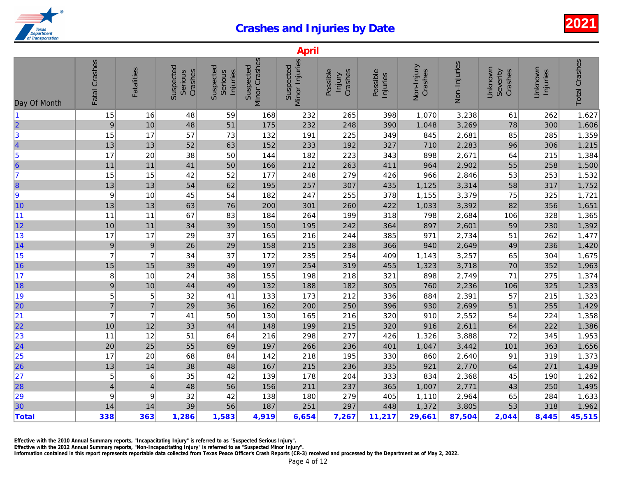|                                                               |                |                   |                                        |                                  |                            | April                       |                               |                      |                       |              |
|---------------------------------------------------------------|----------------|-------------------|----------------------------------------|----------------------------------|----------------------------|-----------------------------|-------------------------------|----------------------|-----------------------|--------------|
| Day Of Month                                                  | Fatal Crashes  | <b>Fatalities</b> | Suspected<br>Crashes<br><b>Serious</b> | Suspected<br>Serious<br>Injuries | Minor Crashes<br>Suspected | Minor Injuries<br>Suspected | Possible<br>Crashes<br>Injury | Possible<br>Injuries | Non-Injury<br>Crashes | Non-Injuries |
| $\blacksquare$                                                | 15             | 16                | 48                                     | 59                               | 168                        | 232                         | 265                           | 398                  | 1,070                 | 3,238        |
| $\vert$ 2                                                     | 9              | 10                | 48                                     | 51                               | 175                        | 232                         | 248                           | 390                  | 1,048                 | 3,269        |
| $\vert$ 3                                                     | 15             | 17                | 57                                     | 73                               | 132                        | 191                         | 225                           | 349                  | 845                   | 2,681        |
| 4                                                             | 13             | 13                | 52                                     | 63                               | 152                        | 233                         | 192                           | 327                  | 710                   | 2,283        |
| $\vert$ 5                                                     | 17             | 20                | 38                                     | 50                               | 144                        | 182                         | 223                           | 343                  | 898                   | 2,671        |
| 6                                                             | 11             | 11                | 41                                     | 50                               | 166                        | 212                         | 263                           | 411                  | 964                   | 2,902        |
| 17                                                            | 15             | 15                | 42                                     | 52                               | 177                        | 248                         | 279                           | 426                  | 966                   | 2,846        |
| 8                                                             | 13             | 13                | 54                                     | 62                               | 195                        | 257                         | 307                           | 435                  | 1,125                 | 3,314        |
| 9                                                             | 9              | 10                | 45                                     | 54                               | 182                        | 247                         | 255                           | 378                  | 1,155                 | 3,379        |
| 10                                                            | 13             | 13                | 63                                     | 76                               | 200                        | 301                         | 260                           | 422                  | 1,033                 | 3,392        |
| 11                                                            | 11             | 11                | 67                                     | 83                               | 184                        | 264                         | 199                           | 318                  | 798                   | 2,684        |
| 12                                                            | 10             | 11                | 34                                     | 39                               | 150                        | 195                         | 242                           | 364                  | 897                   | 2,601        |
| 13                                                            | 17             | 17                | 29                                     | 37                               | 165                        | 216                         | 244                           | 385                  | 971                   | 2,734        |
| 14                                                            | 9              | $\boldsymbol{9}$  | 26                                     | 29                               | 158                        | 215                         | 238                           | 366                  | 940                   | 2,649        |
| 15                                                            | $\overline{7}$ | $\overline{7}$    | 34                                     | 37                               | 172                        | 235                         | 254                           | 409                  | 1,143                 | 3,257        |
| 16                                                            | 15             | 15                | 39                                     | 49                               | 197                        | 254                         | 319                           | 455                  | 1,323                 | 3,718        |
| 17                                                            | 8              | 10                | 24                                     | 38                               | 155                        | 198                         | 218                           | 321                  | 898                   | 2,749        |
| 18                                                            | 9              | 10                | 44                                     | 49                               | 132                        | 188                         | 182                           | 305                  | 760                   | 2,236        |
| 19                                                            | 5              | 5                 | 32                                     | 41                               | 133                        | 173                         | 212                           | 336                  | 884                   | 2,391        |
| 20                                                            | $\overline{7}$ | $\overline{7}$    | 29                                     | 36                               | 162                        | 200                         | 250                           | 396                  | 930                   | 2,699        |
| 21                                                            | $\overline{7}$ | $\overline{7}$    | 41                                     | 50                               | 130                        | 165                         | 216                           | 320                  | 910                   | 2,552        |
| 22                                                            | 10             | 12                | 33                                     | 44                               | 148                        | 199                         | 215                           | 320                  | 916                   | 2,611        |
|                                                               | 11             | 12                | 51                                     | 64                               | 216                        | 298                         | 277                           | 426                  | 1,326                 | 3,888        |
| $\begin{array}{ c c }\n\hline\n23 \\ \hline\n24\n\end{array}$ | 20             | 25                | 55                                     | 69                               | 197                        | 266                         | 236                           | 401                  | 1,047                 | 3,442        |
|                                                               | 17             | 20                | 68                                     | 84                               | 142                        | 218                         | 195                           | 330                  | 860                   | 2,640        |
| $\begin{array}{ c c }\n\hline\n25 \\ \hline\n26\n\end{array}$ | 13             | 14                | 38                                     | 48                               | 167                        | 215                         | 236                           | 335                  | 921                   | 2,770        |
| 27                                                            | 5              | 6                 | 35                                     | 42                               | 139                        | 178                         | 204                           | 333                  | 834                   | 2,368        |
| 28                                                            | $\overline{4}$ | 4                 | 48                                     | 56                               | 156                        | 211                         | 237                           | 365                  | 1,007                 | 2,771        |
| 29                                                            | 9              | 9                 | 32                                     | 42                               | 138                        | 180                         | 279                           | 405                  | 1,110                 | 2,964        |
| 30                                                            | 14             | 14                | 39                                     | 56                               | 187                        | 251                         | 297                           | 448                  | 1,372                 | 3,805        |
| <b>Total</b>                                                  | 338            | 363               | 1,286                                  | 1,583                            | 4,919                      | 6,654                       | 7,267                         | 11,217               | 29,661                | 87,504       |
|                                                               |                |                   |                                        |                                  |                            |                             |                               |                      |                       |              |

Effective with the 2010 Annual Summary reports, "Incapacitating Injury" is referred to as "Suspected Serious Injury".

Effective with the 2012 Annual Summary reports, "Non-Incapacitating Injury" is referred to as "Suspected Minor Injury".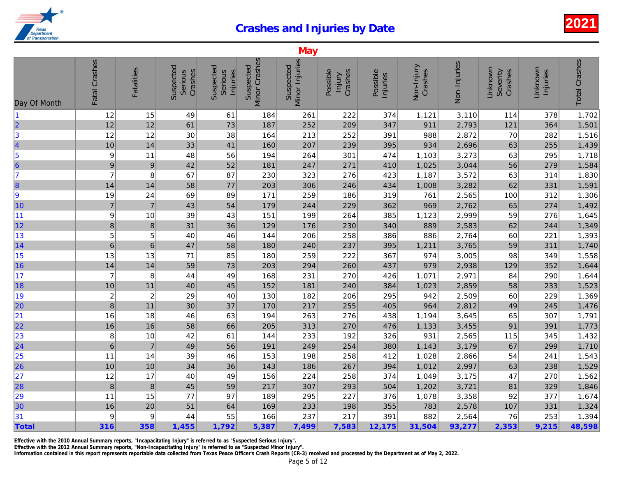|                                                                  |                  |                   |                                 |                                  |                            | May                         |                               |                      |                       |              |
|------------------------------------------------------------------|------------------|-------------------|---------------------------------|----------------------------------|----------------------------|-----------------------------|-------------------------------|----------------------|-----------------------|--------------|
| Day Of Month                                                     | Fatal Crashes    | <b>Fatalities</b> | Suspected<br>Crashes<br>Serious | Suspected<br>Serious<br>Injuries | Minor Crashes<br>Suspected | Minor Injuries<br>Suspected | Possible<br>Crashes<br>lnjury | Possible<br>Injuries | Non-Injury<br>Crashes | Non-Injuries |
| $\vert$ 1                                                        | 12               | 15                | 49                              | 61                               | 184                        | 261                         | 222                           | 374                  | 1,121                 | 3,110        |
| $\overline{\mathbf{2}}$                                          | 12               | 12                | 61                              | 73                               | 187                        | 252                         | 209                           | 347                  | 911                   | 2,793        |
|                                                                  | 12               | 12                | 30                              | 38                               | 164                        | 213                         | 252                           | 391                  | 988                   | 2,872        |
|                                                                  | 10               | 14                | 33                              | 41                               | 160                        | 207                         | 239                           | 395                  | 934                   | 2,696        |
| $\begin{array}{c} 3 \\ 4 \\ 5 \\ 6 \end{array}$                  | 9                | 11                | 48                              | 56                               | 194                        | 264                         | 301                           | 474                  | 1,103                 | 3,273        |
|                                                                  | $\boldsymbol{9}$ | $\boldsymbol{9}$  | 42                              | 52                               | 181                        | 247                         | 271                           | 410                  | 1,025                 | 3,044        |
| 17                                                               | $\overline{7}$   | 8                 | 67                              | 87                               | 230                        | 323                         | 276                           | 423                  | 1,187                 | 3,572        |
| 8                                                                | 14               | 14                | 58                              | 77                               | 203                        | 306                         | 246                           | 434                  | 1,008                 | 3,282        |
| 9                                                                | 19               | 24                | 69                              | 89                               | 171                        | 259                         | 186                           | 319                  | 761                   | 2,565        |
| 10                                                               | $\overline{7}$   | $\overline{7}$    | 43                              | 54                               | 179                        | 244                         | 229                           | 362                  | 969                   | 2,762        |
| 11                                                               | 9                | 10                | 39                              | 43                               | 151                        | 199                         | 264                           | 385                  | 1,123                 | 2,999        |
| 12                                                               | 8                | $\bf 8$           | 31                              | 36                               | 129                        | 176                         | 230                           | 340                  | 889                   | 2,583        |
| 13                                                               | 5                | 5                 | 40                              | 46                               | 144                        | 206                         | 258                           | 386                  | 886                   | 2,764        |
| 14                                                               | $\,$ 6           | $\,6$             | 47                              | 58                               | 180                        | 240                         | 237                           | 395                  | 1,211                 | 3,765        |
| 15                                                               | 13               | 13                | 71                              | 85                               | 180                        | 259                         | 222                           | 367                  | 974                   | 3,005        |
| 16                                                               | 14               | 14                | 59                              | 73                               | 203                        | 294                         | 260                           | 437                  | 979                   | 2,938        |
| 17                                                               | $\overline{7}$   | 8                 | 44                              | 49                               | 168                        | 231                         | 270                           | 426                  | 1,071                 | 2,971        |
| 18                                                               | 10               | 11                | 40                              | 45                               | 152                        | 181                         | 240                           | 384                  | 1,023                 | 2,859        |
| 19                                                               | $\overline{c}$   | $\boldsymbol{2}$  | 29                              | 40                               | 130                        | 182                         | 206                           | 295                  | 942                   | 2,509        |
| 20                                                               | $\boldsymbol{8}$ | 11                | 30                              | 37                               | 170                        | 217                         | 255                           | 405                  | 964                   | 2,812        |
| 21                                                               | 16               | 18                | 46                              | 63                               | 194                        | 263                         | 276                           | 438                  | 1,194                 | 3,645        |
| $\overline{22}$                                                  | 16               | 16                | 58                              | 66                               | 205                        | 313                         | 270                           | 476                  | 1,133                 | 3,455        |
|                                                                  | 8                | 10                | 42                              | 61                               | 144                        | 233                         | 192                           | 326                  | 931                   | 2,565        |
| $\begin{array}{r} \n \boxed{23} \\ \n \boxed{24} \n \end{array}$ | $\overline{6}$   | $\overline{7}$    | 49                              | 56                               | 191                        | 249                         | 254                           | 380                  | 1,143                 | 3,179        |
| $\begin{array}{r} \n \boxed{25} \\  26\n \end{array}$            | 11               | 14                | 39                              | 46                               | 153                        | 198                         | 258                           | 412                  | 1,028                 | 2,866        |
|                                                                  | 10               | 10                | 34                              | 36                               | 143                        | 186                         | 267                           | 394                  | 1,012                 | 2,997        |
| 27                                                               | 12               | 17                | 40                              | 49                               | 156                        | 224                         | 258                           | 374                  | 1,049                 | 3,175        |
| 28                                                               | 8                | $\bf 8$           | 45                              | 59                               | 217                        | 307                         | 293                           | 504                  | 1,202                 | 3,721        |
| 29                                                               | 11               | 15                | 77                              | 97                               | 189                        | 295                         | 227                           | 376                  | 1,078                 | 3,358        |
| 30                                                               | 16               | 20                | 51                              | 64                               | 169                        | 233                         | 198                           | 355                  | 783                   | 2,578        |
| 31                                                               | 9                | 9                 | 44                              | 55                               | 166                        | 237                         | 217                           | 391                  | 882                   | 2,564        |
| Total                                                            | 316              | 358               | 1,455                           | 1,792                            | 5,387                      | 7,499                       | 7,583                         | 12,175               | 31,504                | 93,277       |

Effective with the 2010 Annual Summary reports, "Incapacitating Injury" is referred to as "Suspected Serious Injury".

Information contained in this report represents reportable data collected from Texas Peace Officer's Crash Reports (CR-3) received and processed by the Department as of May 2, 2022. Effective with the 2012 Annual Summary reports, "Non-Incapacitating Injury" is referred to as "Suspected Minor Injury".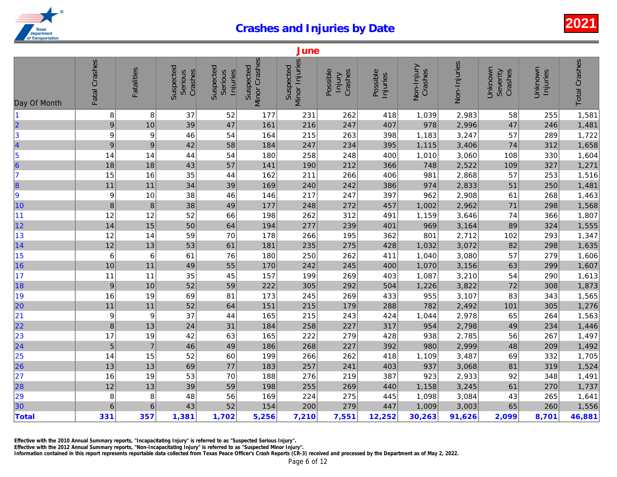| Minor Crashes<br>Fatal Crashes<br>Minor Injuries<br>Non-Injuries<br>Suspected<br>Suspected<br>Suspected<br>Suspected<br>Non-Injury<br>Fatalities<br>Crashes<br>Crashes<br>Possible<br>Crashes<br>Serious<br>Serious<br>Possible<br>Injuries<br>Injuries<br>Injury<br>Day Of Month<br>8<br>8<br>37<br>1,039<br>2,983<br>11<br>52<br>177<br>231<br>262<br>418<br>2<br>3<br>4<br>5<br>6<br>7<br>47<br>978<br>2,996<br>10<br>39<br>161<br>216<br>247<br>407<br>9<br>54<br>215<br>3,247<br>9<br>9<br>46<br>164<br>263<br>398<br>1,183<br>9<br>1,115<br>3,406<br>$\boldsymbol{9}$<br>42<br>58<br>184<br>247<br>395<br>234<br>1,010<br>14<br>54<br>258<br>248<br>400<br>3,060<br>14<br>44<br>180<br>18<br>18<br>57<br>748<br>2,522<br>43<br>141<br>190<br>212<br>366<br>15<br>16<br>35<br>2,868<br>44<br>162<br>211<br>266<br>406<br>981<br>8<br>11<br>11<br>34<br>39<br>169<br>2,833<br>240<br>242<br>386<br>974<br>9<br>38<br>217<br>962<br>2,908<br>9<br>10<br>46<br>146<br>247<br>397<br>10<br>8<br>$\bf 8$<br>38<br>49<br>2,962<br>177<br>248<br>272<br>457<br>1,002<br> 11<br>12<br>52<br>262<br>312<br>1,159<br>3,646<br>12<br>66<br>198<br>491<br> 12 <br>14<br>15<br>50<br>64<br>194<br>277<br>239<br>969<br>3,164<br>401<br>13<br>12<br>59<br>70<br>266<br>362<br>801<br>2,712<br>14<br>178<br>195<br> 14<br>3,072<br>12<br>13<br>53<br>61<br>181<br>235<br>275<br>428<br>1,032<br>15<br>6<br>6<br>61<br>76<br>180<br>250<br>262<br>411<br>1,040<br>3,080<br>16<br>3,156<br>55<br>1,070<br>10<br>11<br>49<br>170<br>242<br>245<br>400<br> 17<br>3,210<br>11<br>11<br>35<br>45<br>157<br>199<br>269<br>403<br>1,087<br>18<br>3,822<br>$\boldsymbol{9}$<br>52<br>59<br>222<br>305<br>504<br>1,226<br>10<br>292<br>19<br>3,107<br>16<br>69<br>173<br>269<br>433<br>955<br>19<br>81<br>245<br>20<br>2,492<br>$11$<br>52<br>151<br>782<br>11<br>64<br>215<br>288<br>179<br> 21<br>37<br>2,978<br>9<br>9<br>165<br>215<br>243<br>424<br>1,044<br>44<br> 22 <br>$\bf 8$<br>2,798<br>13<br>24<br>31<br>184<br>258<br>317<br>954<br>227<br>$\begin{array}{ c c }\n\hline\n23 \\ \hline\n24\n\end{array}$<br>2,785<br>17<br>42<br>222<br>279<br>428<br>938<br>19<br>63<br>165<br>$\sqrt{5}$<br>$\overline{7}$<br>49<br>392<br>980<br>2,999<br>46<br>186<br>268<br>227<br>$\begin{array}{ c c }\n\hline\n25 \\ \hline\n26\n\end{array}$<br>3,487<br>14<br>52<br>60<br>199<br>266<br>262<br>418<br>1,109<br>15<br>13<br>13<br>69<br>77<br>183<br>257<br>241<br>403<br>937<br>3,068<br> 27<br>53<br>2,933<br>16<br>19<br>70<br>188<br>276<br>219<br>387<br>923<br>28<br>3,245<br>12<br>13<br>39<br>59<br>198<br>255<br>269<br>440<br>1,158<br>29<br>30<br>3,084<br>8<br>8<br>48<br>56<br>169<br>224<br>275<br>1,098<br>445<br>52<br>3,003<br>$6\phantom{1}6$<br>$\,6$<br>43<br>154<br>200<br>279<br>447<br>1,009<br><b>Total</b><br>331<br>12,252<br>30,263<br>357<br>1,381<br>1,702<br>5,256<br>7,210<br>7,551<br>91,626 |  |  |  | June |  |  |
|-----------------------------------------------------------------------------------------------------------------------------------------------------------------------------------------------------------------------------------------------------------------------------------------------------------------------------------------------------------------------------------------------------------------------------------------------------------------------------------------------------------------------------------------------------------------------------------------------------------------------------------------------------------------------------------------------------------------------------------------------------------------------------------------------------------------------------------------------------------------------------------------------------------------------------------------------------------------------------------------------------------------------------------------------------------------------------------------------------------------------------------------------------------------------------------------------------------------------------------------------------------------------------------------------------------------------------------------------------------------------------------------------------------------------------------------------------------------------------------------------------------------------------------------------------------------------------------------------------------------------------------------------------------------------------------------------------------------------------------------------------------------------------------------------------------------------------------------------------------------------------------------------------------------------------------------------------------------------------------------------------------------------------------------------------------------------------------------------------------------------------------------------------------------------------------------------------------------------------------------------------------------------------------------------------------------------------------------------------------------------------------------------------------------------------------------------------------------------------------------------------------------------------------------------------------------------------------------------------------------------------------------------------------------------------------------------------------------------------------------------------------------------------------------------------------------------------------------------------------------------------------------------------------------|--|--|--|------|--|--|
|                                                                                                                                                                                                                                                                                                                                                                                                                                                                                                                                                                                                                                                                                                                                                                                                                                                                                                                                                                                                                                                                                                                                                                                                                                                                                                                                                                                                                                                                                                                                                                                                                                                                                                                                                                                                                                                                                                                                                                                                                                                                                                                                                                                                                                                                                                                                                                                                                                                                                                                                                                                                                                                                                                                                                                                                                                                                                                                 |  |  |  |      |  |  |
|                                                                                                                                                                                                                                                                                                                                                                                                                                                                                                                                                                                                                                                                                                                                                                                                                                                                                                                                                                                                                                                                                                                                                                                                                                                                                                                                                                                                                                                                                                                                                                                                                                                                                                                                                                                                                                                                                                                                                                                                                                                                                                                                                                                                                                                                                                                                                                                                                                                                                                                                                                                                                                                                                                                                                                                                                                                                                                                 |  |  |  |      |  |  |
|                                                                                                                                                                                                                                                                                                                                                                                                                                                                                                                                                                                                                                                                                                                                                                                                                                                                                                                                                                                                                                                                                                                                                                                                                                                                                                                                                                                                                                                                                                                                                                                                                                                                                                                                                                                                                                                                                                                                                                                                                                                                                                                                                                                                                                                                                                                                                                                                                                                                                                                                                                                                                                                                                                                                                                                                                                                                                                                 |  |  |  |      |  |  |
|                                                                                                                                                                                                                                                                                                                                                                                                                                                                                                                                                                                                                                                                                                                                                                                                                                                                                                                                                                                                                                                                                                                                                                                                                                                                                                                                                                                                                                                                                                                                                                                                                                                                                                                                                                                                                                                                                                                                                                                                                                                                                                                                                                                                                                                                                                                                                                                                                                                                                                                                                                                                                                                                                                                                                                                                                                                                                                                 |  |  |  |      |  |  |
|                                                                                                                                                                                                                                                                                                                                                                                                                                                                                                                                                                                                                                                                                                                                                                                                                                                                                                                                                                                                                                                                                                                                                                                                                                                                                                                                                                                                                                                                                                                                                                                                                                                                                                                                                                                                                                                                                                                                                                                                                                                                                                                                                                                                                                                                                                                                                                                                                                                                                                                                                                                                                                                                                                                                                                                                                                                                                                                 |  |  |  |      |  |  |
|                                                                                                                                                                                                                                                                                                                                                                                                                                                                                                                                                                                                                                                                                                                                                                                                                                                                                                                                                                                                                                                                                                                                                                                                                                                                                                                                                                                                                                                                                                                                                                                                                                                                                                                                                                                                                                                                                                                                                                                                                                                                                                                                                                                                                                                                                                                                                                                                                                                                                                                                                                                                                                                                                                                                                                                                                                                                                                                 |  |  |  |      |  |  |
|                                                                                                                                                                                                                                                                                                                                                                                                                                                                                                                                                                                                                                                                                                                                                                                                                                                                                                                                                                                                                                                                                                                                                                                                                                                                                                                                                                                                                                                                                                                                                                                                                                                                                                                                                                                                                                                                                                                                                                                                                                                                                                                                                                                                                                                                                                                                                                                                                                                                                                                                                                                                                                                                                                                                                                                                                                                                                                                 |  |  |  |      |  |  |
|                                                                                                                                                                                                                                                                                                                                                                                                                                                                                                                                                                                                                                                                                                                                                                                                                                                                                                                                                                                                                                                                                                                                                                                                                                                                                                                                                                                                                                                                                                                                                                                                                                                                                                                                                                                                                                                                                                                                                                                                                                                                                                                                                                                                                                                                                                                                                                                                                                                                                                                                                                                                                                                                                                                                                                                                                                                                                                                 |  |  |  |      |  |  |
|                                                                                                                                                                                                                                                                                                                                                                                                                                                                                                                                                                                                                                                                                                                                                                                                                                                                                                                                                                                                                                                                                                                                                                                                                                                                                                                                                                                                                                                                                                                                                                                                                                                                                                                                                                                                                                                                                                                                                                                                                                                                                                                                                                                                                                                                                                                                                                                                                                                                                                                                                                                                                                                                                                                                                                                                                                                                                                                 |  |  |  |      |  |  |
|                                                                                                                                                                                                                                                                                                                                                                                                                                                                                                                                                                                                                                                                                                                                                                                                                                                                                                                                                                                                                                                                                                                                                                                                                                                                                                                                                                                                                                                                                                                                                                                                                                                                                                                                                                                                                                                                                                                                                                                                                                                                                                                                                                                                                                                                                                                                                                                                                                                                                                                                                                                                                                                                                                                                                                                                                                                                                                                 |  |  |  |      |  |  |
|                                                                                                                                                                                                                                                                                                                                                                                                                                                                                                                                                                                                                                                                                                                                                                                                                                                                                                                                                                                                                                                                                                                                                                                                                                                                                                                                                                                                                                                                                                                                                                                                                                                                                                                                                                                                                                                                                                                                                                                                                                                                                                                                                                                                                                                                                                                                                                                                                                                                                                                                                                                                                                                                                                                                                                                                                                                                                                                 |  |  |  |      |  |  |
|                                                                                                                                                                                                                                                                                                                                                                                                                                                                                                                                                                                                                                                                                                                                                                                                                                                                                                                                                                                                                                                                                                                                                                                                                                                                                                                                                                                                                                                                                                                                                                                                                                                                                                                                                                                                                                                                                                                                                                                                                                                                                                                                                                                                                                                                                                                                                                                                                                                                                                                                                                                                                                                                                                                                                                                                                                                                                                                 |  |  |  |      |  |  |
|                                                                                                                                                                                                                                                                                                                                                                                                                                                                                                                                                                                                                                                                                                                                                                                                                                                                                                                                                                                                                                                                                                                                                                                                                                                                                                                                                                                                                                                                                                                                                                                                                                                                                                                                                                                                                                                                                                                                                                                                                                                                                                                                                                                                                                                                                                                                                                                                                                                                                                                                                                                                                                                                                                                                                                                                                                                                                                                 |  |  |  |      |  |  |
|                                                                                                                                                                                                                                                                                                                                                                                                                                                                                                                                                                                                                                                                                                                                                                                                                                                                                                                                                                                                                                                                                                                                                                                                                                                                                                                                                                                                                                                                                                                                                                                                                                                                                                                                                                                                                                                                                                                                                                                                                                                                                                                                                                                                                                                                                                                                                                                                                                                                                                                                                                                                                                                                                                                                                                                                                                                                                                                 |  |  |  |      |  |  |
|                                                                                                                                                                                                                                                                                                                                                                                                                                                                                                                                                                                                                                                                                                                                                                                                                                                                                                                                                                                                                                                                                                                                                                                                                                                                                                                                                                                                                                                                                                                                                                                                                                                                                                                                                                                                                                                                                                                                                                                                                                                                                                                                                                                                                                                                                                                                                                                                                                                                                                                                                                                                                                                                                                                                                                                                                                                                                                                 |  |  |  |      |  |  |
|                                                                                                                                                                                                                                                                                                                                                                                                                                                                                                                                                                                                                                                                                                                                                                                                                                                                                                                                                                                                                                                                                                                                                                                                                                                                                                                                                                                                                                                                                                                                                                                                                                                                                                                                                                                                                                                                                                                                                                                                                                                                                                                                                                                                                                                                                                                                                                                                                                                                                                                                                                                                                                                                                                                                                                                                                                                                                                                 |  |  |  |      |  |  |
|                                                                                                                                                                                                                                                                                                                                                                                                                                                                                                                                                                                                                                                                                                                                                                                                                                                                                                                                                                                                                                                                                                                                                                                                                                                                                                                                                                                                                                                                                                                                                                                                                                                                                                                                                                                                                                                                                                                                                                                                                                                                                                                                                                                                                                                                                                                                                                                                                                                                                                                                                                                                                                                                                                                                                                                                                                                                                                                 |  |  |  |      |  |  |
|                                                                                                                                                                                                                                                                                                                                                                                                                                                                                                                                                                                                                                                                                                                                                                                                                                                                                                                                                                                                                                                                                                                                                                                                                                                                                                                                                                                                                                                                                                                                                                                                                                                                                                                                                                                                                                                                                                                                                                                                                                                                                                                                                                                                                                                                                                                                                                                                                                                                                                                                                                                                                                                                                                                                                                                                                                                                                                                 |  |  |  |      |  |  |
|                                                                                                                                                                                                                                                                                                                                                                                                                                                                                                                                                                                                                                                                                                                                                                                                                                                                                                                                                                                                                                                                                                                                                                                                                                                                                                                                                                                                                                                                                                                                                                                                                                                                                                                                                                                                                                                                                                                                                                                                                                                                                                                                                                                                                                                                                                                                                                                                                                                                                                                                                                                                                                                                                                                                                                                                                                                                                                                 |  |  |  |      |  |  |
|                                                                                                                                                                                                                                                                                                                                                                                                                                                                                                                                                                                                                                                                                                                                                                                                                                                                                                                                                                                                                                                                                                                                                                                                                                                                                                                                                                                                                                                                                                                                                                                                                                                                                                                                                                                                                                                                                                                                                                                                                                                                                                                                                                                                                                                                                                                                                                                                                                                                                                                                                                                                                                                                                                                                                                                                                                                                                                                 |  |  |  |      |  |  |
|                                                                                                                                                                                                                                                                                                                                                                                                                                                                                                                                                                                                                                                                                                                                                                                                                                                                                                                                                                                                                                                                                                                                                                                                                                                                                                                                                                                                                                                                                                                                                                                                                                                                                                                                                                                                                                                                                                                                                                                                                                                                                                                                                                                                                                                                                                                                                                                                                                                                                                                                                                                                                                                                                                                                                                                                                                                                                                                 |  |  |  |      |  |  |
|                                                                                                                                                                                                                                                                                                                                                                                                                                                                                                                                                                                                                                                                                                                                                                                                                                                                                                                                                                                                                                                                                                                                                                                                                                                                                                                                                                                                                                                                                                                                                                                                                                                                                                                                                                                                                                                                                                                                                                                                                                                                                                                                                                                                                                                                                                                                                                                                                                                                                                                                                                                                                                                                                                                                                                                                                                                                                                                 |  |  |  |      |  |  |
|                                                                                                                                                                                                                                                                                                                                                                                                                                                                                                                                                                                                                                                                                                                                                                                                                                                                                                                                                                                                                                                                                                                                                                                                                                                                                                                                                                                                                                                                                                                                                                                                                                                                                                                                                                                                                                                                                                                                                                                                                                                                                                                                                                                                                                                                                                                                                                                                                                                                                                                                                                                                                                                                                                                                                                                                                                                                                                                 |  |  |  |      |  |  |
|                                                                                                                                                                                                                                                                                                                                                                                                                                                                                                                                                                                                                                                                                                                                                                                                                                                                                                                                                                                                                                                                                                                                                                                                                                                                                                                                                                                                                                                                                                                                                                                                                                                                                                                                                                                                                                                                                                                                                                                                                                                                                                                                                                                                                                                                                                                                                                                                                                                                                                                                                                                                                                                                                                                                                                                                                                                                                                                 |  |  |  |      |  |  |
|                                                                                                                                                                                                                                                                                                                                                                                                                                                                                                                                                                                                                                                                                                                                                                                                                                                                                                                                                                                                                                                                                                                                                                                                                                                                                                                                                                                                                                                                                                                                                                                                                                                                                                                                                                                                                                                                                                                                                                                                                                                                                                                                                                                                                                                                                                                                                                                                                                                                                                                                                                                                                                                                                                                                                                                                                                                                                                                 |  |  |  |      |  |  |
|                                                                                                                                                                                                                                                                                                                                                                                                                                                                                                                                                                                                                                                                                                                                                                                                                                                                                                                                                                                                                                                                                                                                                                                                                                                                                                                                                                                                                                                                                                                                                                                                                                                                                                                                                                                                                                                                                                                                                                                                                                                                                                                                                                                                                                                                                                                                                                                                                                                                                                                                                                                                                                                                                                                                                                                                                                                                                                                 |  |  |  |      |  |  |
|                                                                                                                                                                                                                                                                                                                                                                                                                                                                                                                                                                                                                                                                                                                                                                                                                                                                                                                                                                                                                                                                                                                                                                                                                                                                                                                                                                                                                                                                                                                                                                                                                                                                                                                                                                                                                                                                                                                                                                                                                                                                                                                                                                                                                                                                                                                                                                                                                                                                                                                                                                                                                                                                                                                                                                                                                                                                                                                 |  |  |  |      |  |  |
|                                                                                                                                                                                                                                                                                                                                                                                                                                                                                                                                                                                                                                                                                                                                                                                                                                                                                                                                                                                                                                                                                                                                                                                                                                                                                                                                                                                                                                                                                                                                                                                                                                                                                                                                                                                                                                                                                                                                                                                                                                                                                                                                                                                                                                                                                                                                                                                                                                                                                                                                                                                                                                                                                                                                                                                                                                                                                                                 |  |  |  |      |  |  |
|                                                                                                                                                                                                                                                                                                                                                                                                                                                                                                                                                                                                                                                                                                                                                                                                                                                                                                                                                                                                                                                                                                                                                                                                                                                                                                                                                                                                                                                                                                                                                                                                                                                                                                                                                                                                                                                                                                                                                                                                                                                                                                                                                                                                                                                                                                                                                                                                                                                                                                                                                                                                                                                                                                                                                                                                                                                                                                                 |  |  |  |      |  |  |
|                                                                                                                                                                                                                                                                                                                                                                                                                                                                                                                                                                                                                                                                                                                                                                                                                                                                                                                                                                                                                                                                                                                                                                                                                                                                                                                                                                                                                                                                                                                                                                                                                                                                                                                                                                                                                                                                                                                                                                                                                                                                                                                                                                                                                                                                                                                                                                                                                                                                                                                                                                                                                                                                                                                                                                                                                                                                                                                 |  |  |  |      |  |  |
|                                                                                                                                                                                                                                                                                                                                                                                                                                                                                                                                                                                                                                                                                                                                                                                                                                                                                                                                                                                                                                                                                                                                                                                                                                                                                                                                                                                                                                                                                                                                                                                                                                                                                                                                                                                                                                                                                                                                                                                                                                                                                                                                                                                                                                                                                                                                                                                                                                                                                                                                                                                                                                                                                                                                                                                                                                                                                                                 |  |  |  |      |  |  |
|                                                                                                                                                                                                                                                                                                                                                                                                                                                                                                                                                                                                                                                                                                                                                                                                                                                                                                                                                                                                                                                                                                                                                                                                                                                                                                                                                                                                                                                                                                                                                                                                                                                                                                                                                                                                                                                                                                                                                                                                                                                                                                                                                                                                                                                                                                                                                                                                                                                                                                                                                                                                                                                                                                                                                                                                                                                                                                                 |  |  |  |      |  |  |

Effective with the 2010 Annual Summary reports, "Incapacitating Injury" is referred to as "Suspected Serious Injury".

Effective with the 2012 Annual Summary reports, "Non-Incapacitating Injury" is referred to as "Suspected Minor Injury".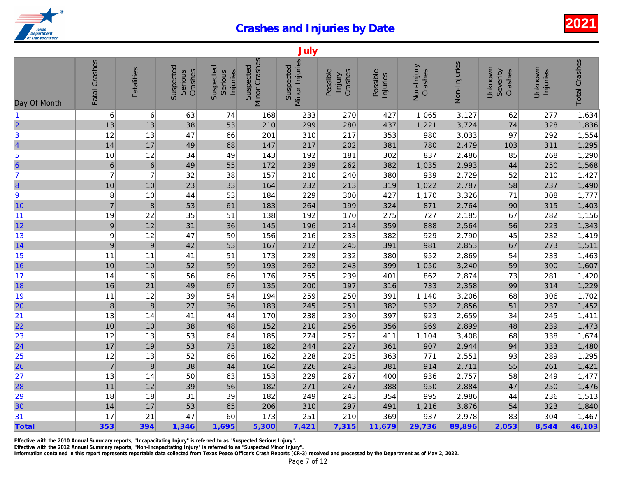|                                                               |                  |                   |                                        |                                  |                            | July                        |                               |                      |                       |              |
|---------------------------------------------------------------|------------------|-------------------|----------------------------------------|----------------------------------|----------------------------|-----------------------------|-------------------------------|----------------------|-----------------------|--------------|
| Day Of Month                                                  | Fatal Crashes    | <b>Fatalities</b> | Suspected<br>Crashes<br><b>Serious</b> | Suspected<br>Serious<br>Injuries | Minor Crashes<br>Suspected | Minor Injuries<br>Suspected | Possible<br>Crashes<br>Injury | Possible<br>Injuries | Non-Injury<br>Crashes | Non-Injuries |
| 11                                                            | 6                | 6                 | 63                                     | 74                               | 168                        | 233                         | 270                           | 427                  | 1,065                 | 3,127        |
| $\overline{\mathbf{2}}$                                       | 13               | 13                | 38                                     | 53                               | 210                        | 299                         | 280                           | 437                  | 1,221                 | 3,724        |
| 3                                                             | 12               | 13                | 47                                     | 66                               | 201                        | 310                         | 217                           | 353                  | 980                   | 3,033        |
| 4                                                             | 14               | 17                | 49                                     | 68                               | 147                        | 217                         | 202                           | 381                  | 780                   | 2,479        |
|                                                               | 10               | 12                | 34                                     | 49                               | 143                        | 192                         | 181                           | 302                  | 837                   | 2,486        |
| $\begin{array}{c} 5 \\ 6 \\ 7 \end{array}$                    | $\boldsymbol{6}$ | $\,6$             | 49                                     | 55                               | 172                        | 239                         | 262                           | 382                  | 1,035                 | 2,993        |
|                                                               | $\overline{7}$   | $\overline{7}$    | 32                                     | 38                               | 157                        | 210                         | 240                           | 380                  | 939                   | 2,729        |
| 8                                                             | 10               | 10                | 23                                     | 33                               | 164                        | 232                         | 213                           | 319                  | 1,022                 | 2,787        |
| 9                                                             | 8                | 10                | 44                                     | 53                               | 184                        | 229                         | 300                           | 427                  | 1,170                 | 3,326        |
| 10                                                            | $\overline{7}$   | $\, 8$            | 53                                     | 61                               | 183                        | 264                         | 199                           | 324                  | 871                   | 2,764        |
| 11                                                            | 19               | 22                | 35                                     | 51                               | 138                        | 192                         | 170                           | 275                  | 727                   | 2,185        |
| 12                                                            | $\boldsymbol{9}$ | 12                | 31                                     | 36                               | 145                        | 196                         | 214                           | 359                  | 888                   | 2,564        |
| 13                                                            | 9                | 12                | 47                                     | 50                               | 156                        | 216                         | 233                           | 382                  | 929                   | 2,790        |
| 14                                                            | 9                | $\boldsymbol{9}$  | 42                                     | 53                               | 167                        | 212                         | 245                           | 391                  | 981                   | 2,853        |
| 15                                                            | 11               | 11                | 41                                     | 51                               | 173                        | 229                         | 232                           | 380                  | 952                   | 2,869        |
| 16                                                            | 10               | 10                | 52                                     | 59                               | 193                        | 262                         | 243                           | 399                  | 1,050                 | 3,240        |
| $\vert$ 17                                                    | 14               | 16                | 56                                     | 66                               | 176                        | 255                         | 239                           | 401                  | 862                   | 2,874        |
| 18                                                            | 16               | 21                | 49                                     | 67                               | 135                        | 200                         | 197                           | 316                  | 733                   | 2,358        |
| 19                                                            | 11               | 12                | 39                                     | 54                               | 194                        | 259                         | 250                           | 391                  | 1,140                 | 3,206        |
| 20                                                            | $\boldsymbol{8}$ | $\bf8$            | 27                                     | 36                               | 183                        | 245                         | 251                           | 382                  | 932                   | 2,856        |
| 21                                                            | 13               | 14                | 41                                     | 44                               | 170                        | 238                         | 230                           | 397                  | 923                   | 2,659        |
| 22                                                            | 10               | 10                | 38                                     | 48                               | 152                        | 210                         | 256                           | 356                  | 969                   | 2,899        |
| $\begin{array}{ c c }\n\hline\n23 \\ \hline\n24\n\end{array}$ | 12               | 13                | 53                                     | 64                               | 185                        | 274                         | 252                           | 411                  | 1,104                 | 3,408        |
|                                                               | 17               | 19                | 53                                     | 73                               | 182                        | 244                         | 227                           | 361                  | 907                   | 2,944        |
| 25                                                            | 12               | 13                | 52                                     | 66                               | 162                        | 228                         | 205                           | 363                  | 771                   | 2,551        |
| 26                                                            | $\overline{7}$   | $\bf8$            | 38                                     | 44                               | 164                        | 226                         | 243                           | 381                  | 914                   | 2,711        |
| 27                                                            | 13               | 14                | 50                                     | 63                               | 153                        | 229                         | 267                           | 400                  | 936                   | 2,757        |
| 28                                                            | 11               | 12                | 39                                     | 56                               | 182                        | 271                         | 247                           | 388                  | 950                   | 2,884        |
| 29                                                            | 18               | 18                | 31                                     | 39                               | 182                        | 249                         | 243                           | 354                  | 995                   | 2,986        |
| 30                                                            | 14               | 17                | 53                                     | 65                               | 206                        | 310                         | 297                           | 491                  | 1,216                 | 3,876        |
| 31                                                            | 17               | 21                | 47                                     | 60                               | 173                        | 251                         | 210                           | 369                  | 937                   | 2,978        |
| Total                                                         | 353              | 394               | 1,346                                  | 1,695                            | 5,300                      | 7,421                       | 7,315                         | 11,679               | 29,736                | 89,896       |

Effective with the 2010 Annual Summary reports, "Incapacitating Injury" is referred to as "Suspected Serious Injury".

Effective with the 2012 Annual Summary reports, "Non-Incapacitating Injury" is referred to as "Suspected Minor Injury".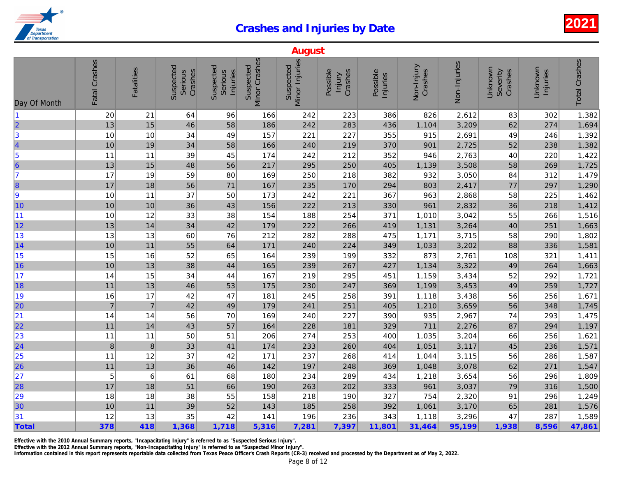|                                              |                  |                   |                                 |                                         |                            | <b>August</b>               |                                      |                      |                       |              |
|----------------------------------------------|------------------|-------------------|---------------------------------|-----------------------------------------|----------------------------|-----------------------------|--------------------------------------|----------------------|-----------------------|--------------|
| Day Of Month                                 | Fatal Crashes    | <b>Fatalities</b> | Suspected<br>Crashes<br>Serious | Suspected<br>Serious<br><b>Injuries</b> | Minor Crashes<br>Suspected | Minor Injuries<br>Suspected | Possible<br>Crashes<br><b>Injury</b> | Possible<br>Injuries | Non-Injury<br>Crashes | Non-Injuries |
| $\blacksquare$                               | 20               | 21                | 64                              | 96                                      | 166                        | 242                         | 223                                  | 386                  | 826                   | 2,612        |
| $\vert$ 2                                    | 13               | 15                | 46                              | 58                                      | 186                        | 242                         | 283                                  | 436                  | 1,104                 | 3,209        |
| $\vert$ 3                                    | 10               | 10                | 34                              | 49                                      | 157                        | 221                         | 227                                  | 355                  | 915                   | 2,691        |
|                                              | 10               | 19                | 34                              | 58                                      | 166                        | 240                         | 219                                  | 370                  | 901                   | 2,725        |
| $\begin{array}{c}\n4 \\ 5 \\ 6\n\end{array}$ | 11               | 11                | 39                              | 45                                      | 174                        | 242                         | 212                                  | 352                  | 946                   | 2,763        |
|                                              | 13               | 15                | 48                              | 56                                      | 217                        | 295                         | 250                                  | 405                  | 1,139                 | 3,508        |
| 17                                           | 17               | 19                | 59                              | 80                                      | 169                        | 250                         | 218                                  | 382                  | 932                   | 3,050        |
| 8                                            | 17               | 18                | 56                              | 71                                      | 167                        | 235                         | 170                                  | 294                  | 803                   | 2,417        |
| 9                                            | 10               | 11                | 37                              | 50                                      | 173                        | 242                         | 221                                  | 367                  | 963                   | 2,868        |
| 10                                           | 10               | 10                | 36                              | 43                                      | 156                        | 222                         | 213                                  | 330                  | 961                   | 2,832        |
| 11                                           | 10               | 12                | 33                              | 38                                      | 154                        | 188                         | 254                                  | 371                  | 1,010                 | 3,042        |
| 12                                           | 13               | 14                | 34                              | 42                                      | 179                        | 222                         | 266                                  | 419                  | 1,131                 | 3,264        |
| 13                                           | 13               | 13                | 60                              | 76                                      | 212                        | 282                         | 288                                  | 475                  | 1,171                 | 3,715        |
| 14                                           | 10               | 11                | 55                              | 64                                      | 171                        | 240                         | 224                                  | 349                  | 1,033                 | 3,202        |
| 15                                           | 15               | 16                | 52                              | 65                                      | 164                        | 239                         | 199                                  | 332                  | 873                   | 2,761        |
| 16                                           | 10               | 13                | 38                              | 44                                      | 165                        | 239                         | 267                                  | 427                  | 1,134                 | 3,322        |
| 17                                           | 14               | 15                | 34                              | 44                                      | 167                        | 219                         | 295                                  | 451                  | 1,159                 | 3,434        |
| 18                                           | 11               | 13                | 46                              | 53                                      | 175                        | 230                         | 247                                  | 369                  | 1,199                 | 3,453        |
| 19                                           | 16               | 17                | 42                              | 47                                      | 181                        | 245                         | 258                                  | 391                  | 1,118                 | 3,438        |
| 20                                           | $\overline{7}$   | $\overline{7}$    | 42                              | 49                                      | 179                        | 241                         | 251                                  | 405                  | 1,210                 | 3,659        |
| 21                                           | 14               | 14                | 56                              | 70                                      | 169                        | 240                         | 227                                  | 390                  | 935                   | 2,967        |
| 22                                           | $11$             | 14                | 43                              | 57                                      | 164                        | 228                         | 181                                  | 329                  | 711                   | 2,276        |
| 23                                           | 11               | 11                | 50                              | 51                                      | 206                        | 274                         | 253                                  | 400                  | 1,035                 | 3,204        |
| $\overline{24}$                              | $\boldsymbol{8}$ | $\bf 8$           | 33                              | 41                                      | 174                        | 233                         | 260                                  | 404                  | 1,051                 | 3,117        |
| 25                                           | 11               | 12                | 37                              | 42                                      | 171                        | 237                         | 268                                  | 414                  | 1,044                 | 3,115        |
| 26                                           | $11$             | 13                | 36                              | 46                                      | 142                        | 197                         | 248                                  | 369                  | 1,048                 | 3,078        |
| 27                                           | 5                | $\,6$             | 61                              | 68                                      | 180                        | 234                         | 289                                  | 434                  | 1,218                 | 3,654        |
| 28                                           | 17               | 18                | 51                              | 66                                      | 190                        | 263                         | 202                                  | 333                  | 961                   | 3,037        |
| 29                                           | 18               | 18                | 38                              | 55                                      | 158                        | 218                         | 190                                  | 327                  | 754                   | 2,320        |
| 30                                           | 10               | 11                | 39                              | 52                                      | 143                        | 185                         | 258                                  | 392                  | 1,061                 | 3,170        |
| 31                                           | 12               | 13                | 35                              | 42                                      | 141                        | 196                         | 236                                  | 343                  | 1,118                 | 3,296        |
| Total                                        | 378              | 418               | 1,368                           | 1,718                                   | 5,316                      | 7,281                       | 7,397                                | 11,801               | 31,464                | 95,199       |

Effective with the 2010 Annual Summary reports, "Incapacitating Injury" is referred to as "Suspected Serious Injury".

Information contained in this report represents reportable data collected from Texas Peace Officer's Crash Reports (CR-3) received and processed by the Department as of May 2, 2022. Effective with the 2012 Annual Summary reports, "Non-Incapacitating Injury" is referred to as "Suspected Minor Injury".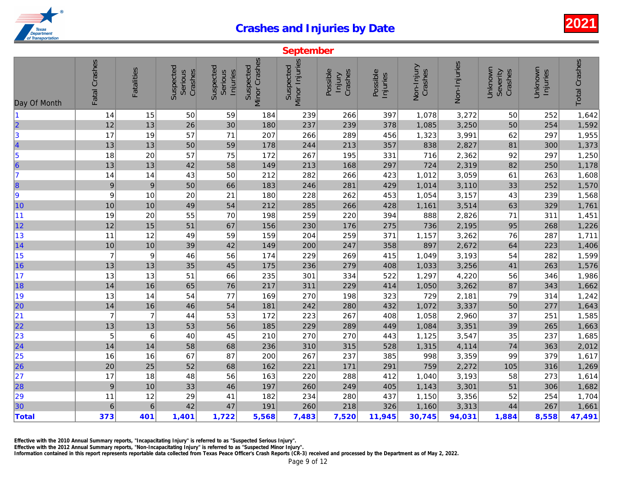| Fatal Crashes<br>Minor Crashes<br>Minor Injuries<br>Non-Injuries<br>Suspected<br>Suspected<br>Suspected<br>Suspected<br>Non-Injury<br>Fatalities<br>Crashes<br>Crashes<br>Possible<br>Crashes<br>Serious<br>Possible<br>Serious<br>Injuries<br>Injury<br>Injuries<br>15<br>397<br>3,272<br>50<br>239<br>1,078<br>14<br>59<br>184<br>266<br>13<br>3,250<br>12<br>26<br>30<br>378<br>1,085<br>180<br>237<br>239<br>17<br>19<br>57<br>71<br>207<br>266<br>289<br>456<br>1,323<br>3,991<br>4<br>13<br>13<br>50<br>59<br>178<br>244<br>213<br>357<br>838<br>2,827<br>$\begin{array}{c} 5 \\ 6 \end{array}$<br>57<br>716<br>2,362<br>18<br>20<br>75<br>172<br>267<br>195<br>331<br>58<br>724<br>2,319<br>13<br>13<br>42<br>149<br>213<br>168<br>297<br>282<br>3,059<br>14<br>14<br>43<br>50<br>212<br>266<br>423<br>1,012<br>$\boldsymbol{9}$<br>50<br>66<br>3,110<br>$\boldsymbol{9}$<br>183<br>246<br>281<br>429<br>1,014<br>9<br>9<br>20<br>1,054<br>3,157<br>10<br>21<br>180<br>228<br>262<br>453<br>3,514<br>10<br>10<br>49<br>54<br>212<br>285<br>266<br>428<br>1,161<br>19<br>20<br>55<br>70<br>259<br>220<br>394<br>888<br>2,826<br>198<br>12<br>15<br>51<br>67<br>230<br>275<br>736<br>2,195<br>156<br>176<br>3,262<br>12<br>49<br>59<br>259<br>371<br>1,157<br>11<br>159<br>204<br>$10$<br>42<br>897<br>2,672<br>10<br>39<br>149<br>200<br>247<br>358<br>$\overline{7}$<br>3,193<br>9<br>46<br>56<br>174<br>229<br>269<br>415<br>1,049<br>13<br>$13$<br>45<br>175<br>3,256<br>35<br>236<br>279<br>408<br>1,033<br>13<br>51<br>235<br>301<br>334<br>522<br>1,297<br>4,220<br>13<br>66<br>14<br>16<br>65<br>76<br>217<br>311<br>229<br>414<br>1,050<br>3,262<br>13<br>14<br>54<br>77<br>270<br>323<br>729<br>2,181<br>169<br>198<br>14<br>$16\,$<br>46<br>54<br>181<br>242<br>280<br>432<br>1,072<br>3,337<br>$\overline{7}$<br>$\overline{7}$<br>172<br>223<br>1,058<br>2,960<br>44<br>53<br>267<br>408<br>13<br>53<br>56<br>3,351<br>13<br>185<br>229<br>289<br>449<br>1,084<br>$\begin{array}{r} \n 23 \\  \hline\n 24\n \end{array}$<br>5<br>6<br>40<br>45<br>210<br>270<br>270<br>3,547<br>443<br>1,125<br>4,114<br>14<br>14<br>58<br>68<br>310<br>315<br>528<br>1,315<br>236<br>$\begin{array}{r} \n \textcolor{red}{25} \\  \textcolor{red}{26}\n \end{array}$<br>67<br>16<br>87<br>200<br>267<br>237<br>998<br>3,359<br>16<br>385<br>20<br>25<br>52<br>68<br>2,272<br>162<br>221<br>171<br>291<br>759<br>17<br>3,193<br>18<br>48<br>56<br>163<br>220<br>288<br>412<br>1,040<br>9<br>46<br>3,301<br>10<br>33<br>197<br>260<br>249<br>405<br>1,143<br>29<br>3,356<br>11<br>12<br>182<br>234<br>280<br>437<br>1,150<br>41<br>$6\phantom{1}6$<br>42<br>3,313<br>6<br>47<br>191<br>260<br>218<br>326<br>1,160<br>373<br>401<br>1,401<br>1,722<br>5,568<br>7,483<br>7,520<br>11,945<br>30,745<br>94,031 |                         |  |  | September |  |  |
|-------------------------------------------------------------------------------------------------------------------------------------------------------------------------------------------------------------------------------------------------------------------------------------------------------------------------------------------------------------------------------------------------------------------------------------------------------------------------------------------------------------------------------------------------------------------------------------------------------------------------------------------------------------------------------------------------------------------------------------------------------------------------------------------------------------------------------------------------------------------------------------------------------------------------------------------------------------------------------------------------------------------------------------------------------------------------------------------------------------------------------------------------------------------------------------------------------------------------------------------------------------------------------------------------------------------------------------------------------------------------------------------------------------------------------------------------------------------------------------------------------------------------------------------------------------------------------------------------------------------------------------------------------------------------------------------------------------------------------------------------------------------------------------------------------------------------------------------------------------------------------------------------------------------------------------------------------------------------------------------------------------------------------------------------------------------------------------------------------------------------------------------------------------------------------------------------------------------------------------------------------------------------------------------------------------------------------------------------------------------------------------------------------------------------------------------------------------------------------------------------------------------------------------------------------------------------------------------------------------------------------------------------------------------------------------------------------------------------------------------------------------------------------------------------------------|-------------------------|--|--|-----------|--|--|
|                                                                                                                                                                                                                                                                                                                                                                                                                                                                                                                                                                                                                                                                                                                                                                                                                                                                                                                                                                                                                                                                                                                                                                                                                                                                                                                                                                                                                                                                                                                                                                                                                                                                                                                                                                                                                                                                                                                                                                                                                                                                                                                                                                                                                                                                                                                                                                                                                                                                                                                                                                                                                                                                                                                                                                                                             | Day Of Month            |  |  |           |  |  |
|                                                                                                                                                                                                                                                                                                                                                                                                                                                                                                                                                                                                                                                                                                                                                                                                                                                                                                                                                                                                                                                                                                                                                                                                                                                                                                                                                                                                                                                                                                                                                                                                                                                                                                                                                                                                                                                                                                                                                                                                                                                                                                                                                                                                                                                                                                                                                                                                                                                                                                                                                                                                                                                                                                                                                                                                             | $\blacksquare$          |  |  |           |  |  |
|                                                                                                                                                                                                                                                                                                                                                                                                                                                                                                                                                                                                                                                                                                                                                                                                                                                                                                                                                                                                                                                                                                                                                                                                                                                                                                                                                                                                                                                                                                                                                                                                                                                                                                                                                                                                                                                                                                                                                                                                                                                                                                                                                                                                                                                                                                                                                                                                                                                                                                                                                                                                                                                                                                                                                                                                             | $\overline{\mathbf{2}}$ |  |  |           |  |  |
|                                                                                                                                                                                                                                                                                                                                                                                                                                                                                                                                                                                                                                                                                                                                                                                                                                                                                                                                                                                                                                                                                                                                                                                                                                                                                                                                                                                                                                                                                                                                                                                                                                                                                                                                                                                                                                                                                                                                                                                                                                                                                                                                                                                                                                                                                                                                                                                                                                                                                                                                                                                                                                                                                                                                                                                                             | $\vert$ 3               |  |  |           |  |  |
|                                                                                                                                                                                                                                                                                                                                                                                                                                                                                                                                                                                                                                                                                                                                                                                                                                                                                                                                                                                                                                                                                                                                                                                                                                                                                                                                                                                                                                                                                                                                                                                                                                                                                                                                                                                                                                                                                                                                                                                                                                                                                                                                                                                                                                                                                                                                                                                                                                                                                                                                                                                                                                                                                                                                                                                                             |                         |  |  |           |  |  |
|                                                                                                                                                                                                                                                                                                                                                                                                                                                                                                                                                                                                                                                                                                                                                                                                                                                                                                                                                                                                                                                                                                                                                                                                                                                                                                                                                                                                                                                                                                                                                                                                                                                                                                                                                                                                                                                                                                                                                                                                                                                                                                                                                                                                                                                                                                                                                                                                                                                                                                                                                                                                                                                                                                                                                                                                             |                         |  |  |           |  |  |
|                                                                                                                                                                                                                                                                                                                                                                                                                                                                                                                                                                                                                                                                                                                                                                                                                                                                                                                                                                                                                                                                                                                                                                                                                                                                                                                                                                                                                                                                                                                                                                                                                                                                                                                                                                                                                                                                                                                                                                                                                                                                                                                                                                                                                                                                                                                                                                                                                                                                                                                                                                                                                                                                                                                                                                                                             |                         |  |  |           |  |  |
|                                                                                                                                                                                                                                                                                                                                                                                                                                                                                                                                                                                                                                                                                                                                                                                                                                                                                                                                                                                                                                                                                                                                                                                                                                                                                                                                                                                                                                                                                                                                                                                                                                                                                                                                                                                                                                                                                                                                                                                                                                                                                                                                                                                                                                                                                                                                                                                                                                                                                                                                                                                                                                                                                                                                                                                                             | 7                       |  |  |           |  |  |
|                                                                                                                                                                                                                                                                                                                                                                                                                                                                                                                                                                                                                                                                                                                                                                                                                                                                                                                                                                                                                                                                                                                                                                                                                                                                                                                                                                                                                                                                                                                                                                                                                                                                                                                                                                                                                                                                                                                                                                                                                                                                                                                                                                                                                                                                                                                                                                                                                                                                                                                                                                                                                                                                                                                                                                                                             | 8                       |  |  |           |  |  |
|                                                                                                                                                                                                                                                                                                                                                                                                                                                                                                                                                                                                                                                                                                                                                                                                                                                                                                                                                                                                                                                                                                                                                                                                                                                                                                                                                                                                                                                                                                                                                                                                                                                                                                                                                                                                                                                                                                                                                                                                                                                                                                                                                                                                                                                                                                                                                                                                                                                                                                                                                                                                                                                                                                                                                                                                             |                         |  |  |           |  |  |
|                                                                                                                                                                                                                                                                                                                                                                                                                                                                                                                                                                                                                                                                                                                                                                                                                                                                                                                                                                                                                                                                                                                                                                                                                                                                                                                                                                                                                                                                                                                                                                                                                                                                                                                                                                                                                                                                                                                                                                                                                                                                                                                                                                                                                                                                                                                                                                                                                                                                                                                                                                                                                                                                                                                                                                                                             | 10                      |  |  |           |  |  |
|                                                                                                                                                                                                                                                                                                                                                                                                                                                                                                                                                                                                                                                                                                                                                                                                                                                                                                                                                                                                                                                                                                                                                                                                                                                                                                                                                                                                                                                                                                                                                                                                                                                                                                                                                                                                                                                                                                                                                                                                                                                                                                                                                                                                                                                                                                                                                                                                                                                                                                                                                                                                                                                                                                                                                                                                             | 11                      |  |  |           |  |  |
|                                                                                                                                                                                                                                                                                                                                                                                                                                                                                                                                                                                                                                                                                                                                                                                                                                                                                                                                                                                                                                                                                                                                                                                                                                                                                                                                                                                                                                                                                                                                                                                                                                                                                                                                                                                                                                                                                                                                                                                                                                                                                                                                                                                                                                                                                                                                                                                                                                                                                                                                                                                                                                                                                                                                                                                                             | 12                      |  |  |           |  |  |
|                                                                                                                                                                                                                                                                                                                                                                                                                                                                                                                                                                                                                                                                                                                                                                                                                                                                                                                                                                                                                                                                                                                                                                                                                                                                                                                                                                                                                                                                                                                                                                                                                                                                                                                                                                                                                                                                                                                                                                                                                                                                                                                                                                                                                                                                                                                                                                                                                                                                                                                                                                                                                                                                                                                                                                                                             | 13                      |  |  |           |  |  |
|                                                                                                                                                                                                                                                                                                                                                                                                                                                                                                                                                                                                                                                                                                                                                                                                                                                                                                                                                                                                                                                                                                                                                                                                                                                                                                                                                                                                                                                                                                                                                                                                                                                                                                                                                                                                                                                                                                                                                                                                                                                                                                                                                                                                                                                                                                                                                                                                                                                                                                                                                                                                                                                                                                                                                                                                             | 14                      |  |  |           |  |  |
|                                                                                                                                                                                                                                                                                                                                                                                                                                                                                                                                                                                                                                                                                                                                                                                                                                                                                                                                                                                                                                                                                                                                                                                                                                                                                                                                                                                                                                                                                                                                                                                                                                                                                                                                                                                                                                                                                                                                                                                                                                                                                                                                                                                                                                                                                                                                                                                                                                                                                                                                                                                                                                                                                                                                                                                                             | 15                      |  |  |           |  |  |
|                                                                                                                                                                                                                                                                                                                                                                                                                                                                                                                                                                                                                                                                                                                                                                                                                                                                                                                                                                                                                                                                                                                                                                                                                                                                                                                                                                                                                                                                                                                                                                                                                                                                                                                                                                                                                                                                                                                                                                                                                                                                                                                                                                                                                                                                                                                                                                                                                                                                                                                                                                                                                                                                                                                                                                                                             | 16                      |  |  |           |  |  |
|                                                                                                                                                                                                                                                                                                                                                                                                                                                                                                                                                                                                                                                                                                                                                                                                                                                                                                                                                                                                                                                                                                                                                                                                                                                                                                                                                                                                                                                                                                                                                                                                                                                                                                                                                                                                                                                                                                                                                                                                                                                                                                                                                                                                                                                                                                                                                                                                                                                                                                                                                                                                                                                                                                                                                                                                             | 17                      |  |  |           |  |  |
|                                                                                                                                                                                                                                                                                                                                                                                                                                                                                                                                                                                                                                                                                                                                                                                                                                                                                                                                                                                                                                                                                                                                                                                                                                                                                                                                                                                                                                                                                                                                                                                                                                                                                                                                                                                                                                                                                                                                                                                                                                                                                                                                                                                                                                                                                                                                                                                                                                                                                                                                                                                                                                                                                                                                                                                                             | 18                      |  |  |           |  |  |
|                                                                                                                                                                                                                                                                                                                                                                                                                                                                                                                                                                                                                                                                                                                                                                                                                                                                                                                                                                                                                                                                                                                                                                                                                                                                                                                                                                                                                                                                                                                                                                                                                                                                                                                                                                                                                                                                                                                                                                                                                                                                                                                                                                                                                                                                                                                                                                                                                                                                                                                                                                                                                                                                                                                                                                                                             | 19                      |  |  |           |  |  |
|                                                                                                                                                                                                                                                                                                                                                                                                                                                                                                                                                                                                                                                                                                                                                                                                                                                                                                                                                                                                                                                                                                                                                                                                                                                                                                                                                                                                                                                                                                                                                                                                                                                                                                                                                                                                                                                                                                                                                                                                                                                                                                                                                                                                                                                                                                                                                                                                                                                                                                                                                                                                                                                                                                                                                                                                             | 20                      |  |  |           |  |  |
|                                                                                                                                                                                                                                                                                                                                                                                                                                                                                                                                                                                                                                                                                                                                                                                                                                                                                                                                                                                                                                                                                                                                                                                                                                                                                                                                                                                                                                                                                                                                                                                                                                                                                                                                                                                                                                                                                                                                                                                                                                                                                                                                                                                                                                                                                                                                                                                                                                                                                                                                                                                                                                                                                                                                                                                                             | 21                      |  |  |           |  |  |
|                                                                                                                                                                                                                                                                                                                                                                                                                                                                                                                                                                                                                                                                                                                                                                                                                                                                                                                                                                                                                                                                                                                                                                                                                                                                                                                                                                                                                                                                                                                                                                                                                                                                                                                                                                                                                                                                                                                                                                                                                                                                                                                                                                                                                                                                                                                                                                                                                                                                                                                                                                                                                                                                                                                                                                                                             | $\overline{22}$         |  |  |           |  |  |
|                                                                                                                                                                                                                                                                                                                                                                                                                                                                                                                                                                                                                                                                                                                                                                                                                                                                                                                                                                                                                                                                                                                                                                                                                                                                                                                                                                                                                                                                                                                                                                                                                                                                                                                                                                                                                                                                                                                                                                                                                                                                                                                                                                                                                                                                                                                                                                                                                                                                                                                                                                                                                                                                                                                                                                                                             |                         |  |  |           |  |  |
|                                                                                                                                                                                                                                                                                                                                                                                                                                                                                                                                                                                                                                                                                                                                                                                                                                                                                                                                                                                                                                                                                                                                                                                                                                                                                                                                                                                                                                                                                                                                                                                                                                                                                                                                                                                                                                                                                                                                                                                                                                                                                                                                                                                                                                                                                                                                                                                                                                                                                                                                                                                                                                                                                                                                                                                                             |                         |  |  |           |  |  |
|                                                                                                                                                                                                                                                                                                                                                                                                                                                                                                                                                                                                                                                                                                                                                                                                                                                                                                                                                                                                                                                                                                                                                                                                                                                                                                                                                                                                                                                                                                                                                                                                                                                                                                                                                                                                                                                                                                                                                                                                                                                                                                                                                                                                                                                                                                                                                                                                                                                                                                                                                                                                                                                                                                                                                                                                             |                         |  |  |           |  |  |
|                                                                                                                                                                                                                                                                                                                                                                                                                                                                                                                                                                                                                                                                                                                                                                                                                                                                                                                                                                                                                                                                                                                                                                                                                                                                                                                                                                                                                                                                                                                                                                                                                                                                                                                                                                                                                                                                                                                                                                                                                                                                                                                                                                                                                                                                                                                                                                                                                                                                                                                                                                                                                                                                                                                                                                                                             |                         |  |  |           |  |  |
|                                                                                                                                                                                                                                                                                                                                                                                                                                                                                                                                                                                                                                                                                                                                                                                                                                                                                                                                                                                                                                                                                                                                                                                                                                                                                                                                                                                                                                                                                                                                                                                                                                                                                                                                                                                                                                                                                                                                                                                                                                                                                                                                                                                                                                                                                                                                                                                                                                                                                                                                                                                                                                                                                                                                                                                                             | 27                      |  |  |           |  |  |
|                                                                                                                                                                                                                                                                                                                                                                                                                                                                                                                                                                                                                                                                                                                                                                                                                                                                                                                                                                                                                                                                                                                                                                                                                                                                                                                                                                                                                                                                                                                                                                                                                                                                                                                                                                                                                                                                                                                                                                                                                                                                                                                                                                                                                                                                                                                                                                                                                                                                                                                                                                                                                                                                                                                                                                                                             | 28                      |  |  |           |  |  |
|                                                                                                                                                                                                                                                                                                                                                                                                                                                                                                                                                                                                                                                                                                                                                                                                                                                                                                                                                                                                                                                                                                                                                                                                                                                                                                                                                                                                                                                                                                                                                                                                                                                                                                                                                                                                                                                                                                                                                                                                                                                                                                                                                                                                                                                                                                                                                                                                                                                                                                                                                                                                                                                                                                                                                                                                             | 29                      |  |  |           |  |  |
|                                                                                                                                                                                                                                                                                                                                                                                                                                                                                                                                                                                                                                                                                                                                                                                                                                                                                                                                                                                                                                                                                                                                                                                                                                                                                                                                                                                                                                                                                                                                                                                                                                                                                                                                                                                                                                                                                                                                                                                                                                                                                                                                                                                                                                                                                                                                                                                                                                                                                                                                                                                                                                                                                                                                                                                                             | 30                      |  |  |           |  |  |
|                                                                                                                                                                                                                                                                                                                                                                                                                                                                                                                                                                                                                                                                                                                                                                                                                                                                                                                                                                                                                                                                                                                                                                                                                                                                                                                                                                                                                                                                                                                                                                                                                                                                                                                                                                                                                                                                                                                                                                                                                                                                                                                                                                                                                                                                                                                                                                                                                                                                                                                                                                                                                                                                                                                                                                                                             | Total                   |  |  |           |  |  |

Effective with the 2010 Annual Summary reports, "Incapacitating Injury" is referred to as "Suspected Serious Injury".

Effective with the 2012 Annual Summary reports, "Non-Incapacitating Injury" is referred to as "Suspected Minor Injury".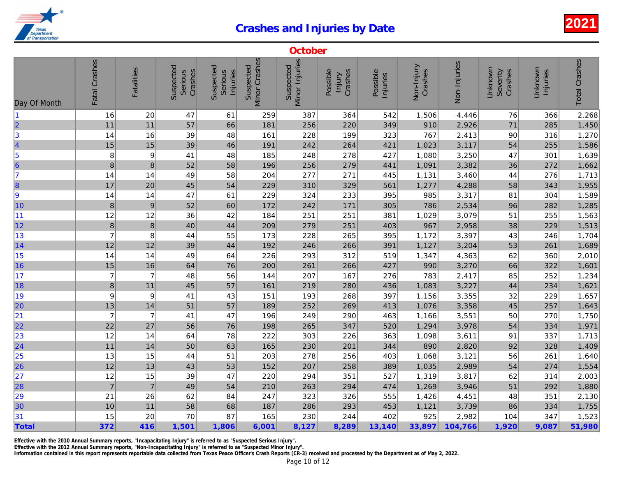|                                       |                  |                   |                                 |                                  |                            | October                     |                               |                      |                       |              |
|---------------------------------------|------------------|-------------------|---------------------------------|----------------------------------|----------------------------|-----------------------------|-------------------------------|----------------------|-----------------------|--------------|
| Day Of Month                          | Fatal Crashes    | <b>Fatalities</b> | Suspected<br>Crashes<br>Serious | Suspected<br>Serious<br>Injuries | Minor Crashes<br>Suspected | Minor Injuries<br>Suspected | Possible<br>Crashes<br>Injury | Possible<br>Injuries | Non-Injury<br>Crashes | Non-Injuries |
| 11                                    | 16               | 20                | 47                              | 61                               | 259                        | 387                         | 364                           | 542                  | 1,506                 | 4,446        |
| $\overline{\mathbf{2}}$               | 11               | 11                | 57                              | 66                               | 181                        | 256                         | 220                           | 349                  | 910                   | 2,926        |
| 3                                     | 14               | 16                | 39                              | 48                               | 161                        | 228                         | 199                           | 323                  | 767                   | 2,413        |
| 4                                     | 15               | 15                | 39                              | 46                               | 191                        | 242                         | 264                           | 421                  | 1,023                 | 3,117        |
| $\begin{array}{c} 5 \\ 6 \end{array}$ | 8                | 9                 | 41                              | 48                               | 185                        | 248                         | 278                           | 427                  | 1,080                 | 3,250        |
|                                       | 8                | $\bf 8$           | 52                              | 58                               | 196                        | 256                         | 279                           | 441                  | 1,091                 | 3,382        |
| 17                                    | 14               | 14                | 49                              | 58                               | 204                        | 277                         | 271                           | 445                  | 1,131                 | 3,460        |
| 8                                     | 17               | 20                | 45                              | 54                               | 229                        | 310                         | 329                           | 561                  | 1,277                 | 4,288        |
| 9                                     | 14               | 14                | 47                              | 61                               | 229                        | 324                         | 233                           | 395                  | 985                   | 3,317        |
| 10                                    | $\boldsymbol{8}$ | $9\,$             | 52                              | 60                               | 172                        | 242                         | 171                           | 305                  | 786                   | 2,534        |
| 11                                    | 12               | 12                | 36                              | 42                               | 184                        | 251                         | 251                           | 381                  | 1,029                 | 3,079        |
| 12                                    | $\bf{8}$         | $\bf{8}$          | 40                              | 44                               | 209                        | 279                         | 251                           | 403                  | 967                   | 2,958        |
| 13                                    | $\overline{7}$   | 8                 | 44                              | 55                               | 173                        | 228                         | 265                           | 395                  | 1,172                 | 3,397        |
| 14                                    | 12               | 12                | 39                              | 44                               | 192                        | 246                         | 266                           | 391                  | 1,127                 | 3,204        |
| 15                                    | 14               | 14                | 49                              | 64                               | 226                        | 293                         | 312                           | 519                  | 1,347                 | 4,363        |
| 16                                    | 15               | $16\,$            | 64                              | 76                               | 200                        | 261                         | 266                           | 427                  | 990                   | 3,270        |
| $\vert$ 17                            | $\overline{7}$   | $\overline{7}$    | 48                              | 56                               | 144                        | 207                         | 167                           | 276                  | 783                   | 2,417        |
| 18                                    | $\bf8$           | 11                | 45                              | 57                               | 161                        | 219                         | 280                           | 436                  | 1,083                 | 3,227        |
| 19                                    | 9                | $\boldsymbol{9}$  | 41                              | 43                               | 151                        | 193                         | 268                           | 397                  | 1,156                 | 3,355        |
| 20                                    | 13               | 14                | 51                              | 57                               | 189                        | 252                         | 269                           | 413                  | 1,076                 | 3,358        |
| 21                                    | $\overline{7}$   | $\overline{7}$    | 41                              | 47                               | 196                        | 249                         | 290                           | 463                  | 1,166                 | 3,551        |
| 22                                    | 22               | 27                | 56                              | 76                               | 198                        | 265                         | 347                           | 520                  | 1,294                 | 3,978        |
| 23                                    | 12               | 14                | 64                              | 78                               | 222                        | 303                         | 226                           | 363                  | 1,098                 | 3,611        |
| $\overline{24}$                       | 11               | 14                | 50                              | 63                               | 165                        | 230                         | 201                           | 344                  | 890                   | 2,820        |
| 25                                    | 13               | 15                | 44                              | 51                               | 203                        | 278                         | 256                           | 403                  | 1,068                 | 3,121        |
| 26                                    | 12               | 13                | 43                              | 53                               | 152                        | 207                         | 258                           | 389                  | 1,035                 | 2,989        |
| 27                                    | 12               | 15                | 39                              | 47                               | 220                        | 294                         | 351                           | 527                  | 1,319                 | 3,817        |
| 28                                    | $\overline{7}$   | $\overline{7}$    | 49                              | 54                               | 210                        | 263                         | 294                           | 474                  | 1,269                 | 3,946        |
| 29                                    | 21               | 26                | 62                              | 84                               | 247                        | 323                         | 326                           | 555                  | 1,426                 | 4,451        |
| 30                                    | 10               | 11                | 58                              | 68                               | 187                        | 286                         | 293                           | 453                  | 1,121                 | 3,739        |
| 31                                    | 15               | 20                | 70                              | 87                               | 165                        | 230                         | 244                           | 402                  | 925                   | 2,982        |
| Total                                 | 372              | 416               | 1,501                           | 1,806                            | 6,001                      | 8,127                       | 8,289                         | 13,140               | 33,897                | 104,766      |

Effective with the 2010 Annual Summary reports, "Incapacitating Injury" is referred to as "Suspected Serious Injury".

Effective with the 2012 Annual Summary reports, "Non-Incapacitating Injury" is referred to as "Suspected Minor Injury".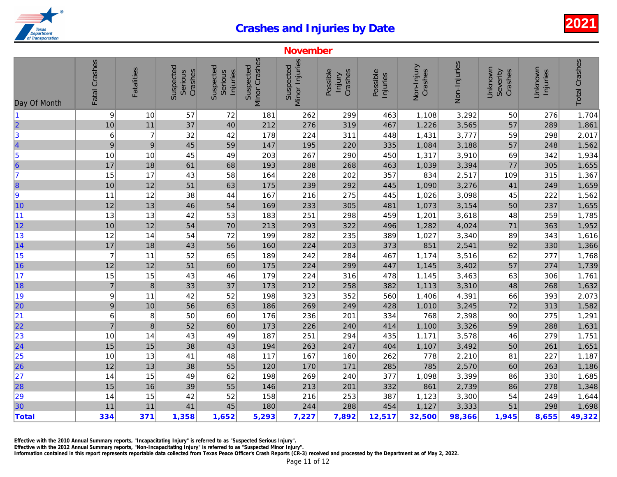|                                                               |                          |                   |                                 |                                  |                            | <b>November</b>             |                               |                      |                       |              |
|---------------------------------------------------------------|--------------------------|-------------------|---------------------------------|----------------------------------|----------------------------|-----------------------------|-------------------------------|----------------------|-----------------------|--------------|
| Day Of Month                                                  | Fatal Crashes            | <b>Fatalities</b> | Suspected<br>Crashes<br>Serious | Suspected<br>Serious<br>Injuries | Minor Crashes<br>Suspected | Minor Injuries<br>Suspected | Possible<br>Crashes<br>Injury | Possible<br>Injuries | Non-Injury<br>Crashes | Non-Injuries |
| $\blacksquare$                                                | 9                        | 10                | 57                              | 72                               | 181                        | 262                         | 299                           | 463                  | 1,108                 | 3,292        |
| $\overline{\mathbf{2}}$                                       | 10                       | 11                | 37                              | 40                               | 212                        | 276                         | 319                           | 467                  | 1,226                 | 3,565        |
| $\vert$ 3                                                     | 6                        | $\overline{7}$    | 32                              | 42                               | 178                        | 224                         | 311                           | 448                  | 1,431                 | 3,777        |
| 4                                                             | 9                        | $\boldsymbol{9}$  | 45                              | 59                               | 147                        | 195                         | 220                           | 335                  | 1,084                 | 3,188        |
| $\vert$ 5                                                     | 10                       | 10                | 45                              | 49                               | 203                        | 267                         | 290                           | 450                  | 1,317                 | 3,910        |
| 6                                                             | 17                       | 18                | 61                              | 68                               | 193                        | 288                         | 268                           | 463                  | 1,039                 | 3,394        |
| 7                                                             | 15                       | 17                | 43                              | 58                               | 164                        | 228                         | 202                           | 357                  | 834                   | 2,517        |
| 8                                                             | 10                       | 12                | 51                              | 63                               | 175                        | 239                         | 292                           | 445                  | 1,090                 | 3,276        |
| 9                                                             | 11                       | 12                | 38                              | 44                               | 167                        | 216                         | 275                           | 445                  | 1,026                 | 3,098        |
| 10                                                            | 12                       | 13                | 46                              | 54                               | 169                        | 233                         | 305                           | 481                  | 1,073                 | 3,154        |
| 11                                                            | 13                       | 13                | 42                              | 53                               | 183                        | 251                         | 298                           | 459                  | 1,201                 | 3,618        |
| 12                                                            | 10                       | 12                | 54                              | 70                               | 213                        | 293                         | 322                           | 496                  | 1,282                 | 4,024        |
| 13                                                            | 12                       | 14                | 54                              | 72                               | 199                        | 282                         | 235                           | 389                  | 1,027                 | 3,340        |
| 14                                                            | 17                       | 18                | 43                              | 56                               | 160                        | 224                         | 203                           | 373                  | 851                   | 2,541        |
| 15                                                            | $\overline{7}$           | 11                | 52                              | 65                               | 189                        | 242                         | 284                           | 467                  | 1,174                 | 3,516        |
| 16                                                            | 12                       | 12                | 51                              | 60                               | 175                        | 224                         | 299                           | 447                  | 1,145                 | 3,402        |
| 17                                                            | 15                       | 15                | 43                              | 46                               | 179                        | 224                         | 316                           | 478                  | 1,145                 | 3,463        |
| 18                                                            | $\overline{7}$           | $\, 8$            | 33                              | 37                               | 173                        | 212                         | 258                           | 382                  | 1,113                 | 3,310        |
| 19                                                            | 9                        | 11                | 42                              | 52                               | 198                        | 323                         | 352                           | 560                  | 1,406                 | 4,391        |
| 20                                                            | 9                        | 10                | 56                              | 63                               | 186                        | 269                         | 249                           | 428                  | 1,010                 | 3,245        |
| 21                                                            | 6                        | 8                 | 50                              | 60                               | 176                        | 236                         | 201                           | 334                  | 768                   | 2,398        |
| 22                                                            | $\overline{\mathcal{I}}$ | $\bf8$            | 52                              | 60                               | 173                        | 226                         | 240                           | 414                  | 1,100                 | 3,326        |
|                                                               | 10                       | 14                | 43                              | 49                               | 187                        | 251                         | 294                           | 435                  | 1,171                 | 3,578        |
| $\begin{array}{r} \n \boxed{23} \\ \n 24\n \end{array}$       | 15                       | 15                | 38                              | 43                               | 194                        | 263                         | 247                           | 404                  | 1,107                 | 3,492        |
|                                                               | 10                       | 13                | 41                              | 48                               | 117                        | 167                         | 160                           | 262                  | 778                   | 2,210        |
| $\begin{array}{ c c }\n\hline\n25 \\ \hline\n26\n\end{array}$ | 12                       | $13$              | 38                              | 55                               | 120                        | 170                         | 171                           | 285                  | 785                   | 2,570        |
| 27                                                            | 14                       | 15                | 49                              | 62                               | 198                        | 269                         | 240                           | 377                  | 1,098                 | 3,399        |
| 28                                                            | 15                       | 16                | 39                              | 55                               | 146                        | 213                         | 201                           | 332                  | 861                   | 2,739        |
|                                                               | 14                       | 15                | 42                              | 52                               | 158                        | 216                         | 253                           | 387                  | 1,123                 | 3,300        |
| 29<br>30                                                      | 11                       | 11                | 41                              | 45                               | 180                        | 244                         | 288                           | 454                  | 1,127                 | 3,333        |
| Total                                                         | 334                      | 371               | 1,358                           | 1,652                            | 5,293                      | 7,227                       | 7,892                         | 12,517               | 32,500                | 98,366       |

Effective with the 2010 Annual Summary reports, "Incapacitating Injury" is referred to as "Suspected Serious Injury".

Effective with the 2012 Annual Summary reports, "Non-Incapacitating Injury" is referred to as "Suspected Minor Injury".